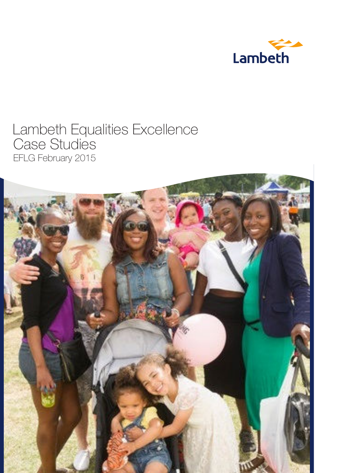

# Lambeth Equalities Excellence Case Studies EFLG February 2015

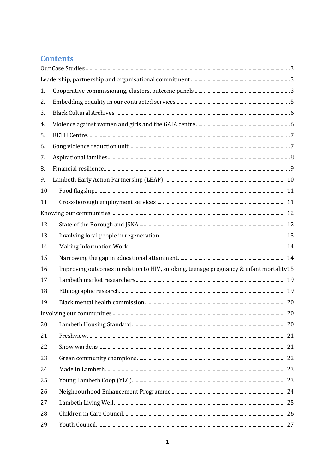# **Contents**

| 1.  |                                                                                        |  |
|-----|----------------------------------------------------------------------------------------|--|
| 2.  |                                                                                        |  |
| 3.  |                                                                                        |  |
| 4.  |                                                                                        |  |
| 5.  |                                                                                        |  |
| 6.  |                                                                                        |  |
| 7.  |                                                                                        |  |
| 8.  |                                                                                        |  |
| 9.  |                                                                                        |  |
| 10. |                                                                                        |  |
| 11. |                                                                                        |  |
|     |                                                                                        |  |
| 12. |                                                                                        |  |
| 13. |                                                                                        |  |
| 14. |                                                                                        |  |
| 15. |                                                                                        |  |
| 16. | Improving outcomes in relation to HIV, smoking, teenage pregnancy & infant mortality15 |  |
| 17. |                                                                                        |  |
| 18. |                                                                                        |  |
| 19. |                                                                                        |  |
|     |                                                                                        |  |
| 20. |                                                                                        |  |
| 21. |                                                                                        |  |
| 22. |                                                                                        |  |
| 23. |                                                                                        |  |
| 24. |                                                                                        |  |
| 25. |                                                                                        |  |
| 26. |                                                                                        |  |
| 27. |                                                                                        |  |
| 28. |                                                                                        |  |
| 29. |                                                                                        |  |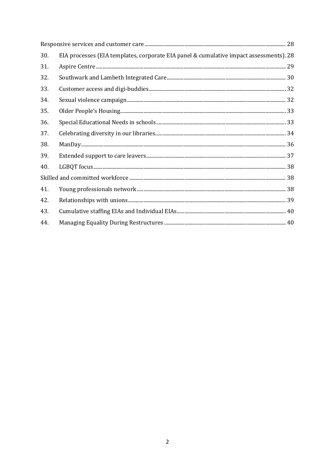| 30. | EIA processes (EIA templates, corporate EIA panel & cumulative impact assessments). 28                                                                                                                                                                                                                                                                                                                                                                                                                                                                                       |  |
|-----|------------------------------------------------------------------------------------------------------------------------------------------------------------------------------------------------------------------------------------------------------------------------------------------------------------------------------------------------------------------------------------------------------------------------------------------------------------------------------------------------------------------------------------------------------------------------------|--|
| 31. |                                                                                                                                                                                                                                                                                                                                                                                                                                                                                                                                                                              |  |
| 32. |                                                                                                                                                                                                                                                                                                                                                                                                                                                                                                                                                                              |  |
| 33. |                                                                                                                                                                                                                                                                                                                                                                                                                                                                                                                                                                              |  |
| 34. |                                                                                                                                                                                                                                                                                                                                                                                                                                                                                                                                                                              |  |
| 35. |                                                                                                                                                                                                                                                                                                                                                                                                                                                                                                                                                                              |  |
| 36. |                                                                                                                                                                                                                                                                                                                                                                                                                                                                                                                                                                              |  |
| 37. |                                                                                                                                                                                                                                                                                                                                                                                                                                                                                                                                                                              |  |
| 38. | $\label{eq:1} \text{ManDay}. \textcolor{red}{\text{min}} \textcolor{red}{\text{min}} \textcolor{red}{\text{min}} \textcolor{red}{\text{min}} \textcolor{red}{\text{min}} \textcolor{red}{\text{min}} \textcolor{red}{\text{min}} \textcolor{red}{\text{min}} \textcolor{red}{\text{min}} \textcolor{red}{\text{min}} \textcolor{red}{\text{min}} \textcolor{red}{\text{min}} \textcolor{red}{\text{min}} \textcolor{red}{\text{min}} \textcolor{red}{\text{min}} \textcolor{red}{\text{min}} \textcolor{red}{\text{min}} \textcolor{red}{\text{min}} \textcolor{red}{\text{$ |  |
| 39. |                                                                                                                                                                                                                                                                                                                                                                                                                                                                                                                                                                              |  |
| 40. |                                                                                                                                                                                                                                                                                                                                                                                                                                                                                                                                                                              |  |
|     |                                                                                                                                                                                                                                                                                                                                                                                                                                                                                                                                                                              |  |
| 41. |                                                                                                                                                                                                                                                                                                                                                                                                                                                                                                                                                                              |  |
| 42. |                                                                                                                                                                                                                                                                                                                                                                                                                                                                                                                                                                              |  |
| 43. |                                                                                                                                                                                                                                                                                                                                                                                                                                                                                                                                                                              |  |
| 44. |                                                                                                                                                                                                                                                                                                                                                                                                                                                                                                                                                                              |  |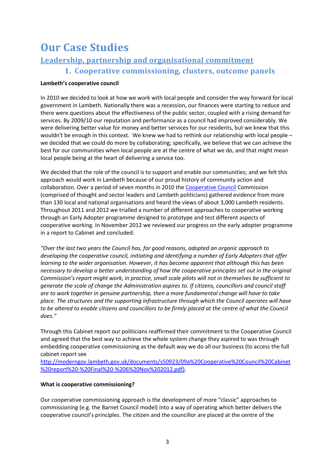# <span id="page-3-0"></span>**Our Case Studies**

# <span id="page-3-2"></span><span id="page-3-1"></span>**Leadership, partnership and organisational commitment**

1. Cooperative commissioning, clusters, outcome panels

#### Lambeth's cooperative council

In 2010 we decided to look at how we work with local people and consider the way forward for local government in Lambeth. Nationally there was a recession, our finances were starting to reduce and there were questions about the effectiveness of the public sector, coupled with a rising demand for services. By 2009/10 our reputation and performance as a council had improved considerably. We were delivering better value for money and better services for our residents, but we knew that this wouldn't be enough in this context. We knew we had to rethink our relationship with local people – we decided that we could do more by collaborating; specifically, we believe that we can achieve the best for our communities when local people are at the centre of what we do, and that might mean local people being at the heart of delivering a service too.

We decided that the role of the council is to support and enable our communities; and we felt this approach would work in Lambeth because of our proud history of community action and collaboration. Over a period of seven months in 2010 the Cooperative Council Commission (comprised of thought and sector leaders and Lambeth politicians) gathered evidence from more than 130 local and national organisations and heard the views of about 3,000 Lambeth residents. Throughout 2011 and 2012 we trialled a number of different approaches to cooperative working through an Early Adopter programme designed to prototype and test different aspects of cooperative working. In November 2012 we reviewed our progress on the early adopter programme in a report to Cabinet and concluded:

"Over the last two years the Council has, for good reasons, adopted an organic approach to developing the cooperative council, initiating and identifying a number of Early Adopters that offer learning to the wider organisation. However, it has become apparent that although this has been necessary to develop a better understanding of how the cooperative principles set out in the original Commission's report might work, in practice, small scale pilots will not in themselves be sufficient to generate the scale of change the Administration aspires to. If citizens, councillors and council staff are to work together in genuine partnership, then a more fundamental change will have to take place. The structures and the supportina infrastructure through which the Council operates will have to be altered to enable citizens and councillors to be firmly placed at the centre of what the Council does."

Through this Cabinet report our politicians reaffirmed their commitment to the Cooperative Council and agreed that the best way to achieve the whole system change they aspired to was through embedding cooperative commissioning as the default way we do all our business (to access the full cabinet report see

http://moderngov.lambeth.gov.uk/documents/s50923/09a%20Cooperative%20Council%20Cabinet %20report%20-%20Final%20-%206%20Nov%202012.pdf).

#### What is cooperative commissioning?

Our cooperative commissioning approach is the development of more "classic" approaches to commissioning (e.g. the Barnet Council model) into a way of operating which better delivers the cooperative council's principles. The citizen and the councillor are placed at the centre of the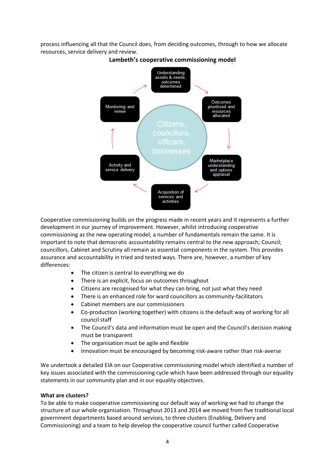process influencing all that the Council does, from deciding outcomes, through to how we allocate resources, service delivery and review.



Lambeth's cooperative commissioning model

Cooperative commissioning builds on the progress made in recent years and it represents a further development in our journey of improvement. However, whilst introducing cooperative commissioning as the new operating model, a number of fundamentals remain the same. It is important to note that democratic accountability remains central to the new approach; Council; councillors, Cabinet and Scrutiny all remain as essential components in the system. This provides assurance and accountability in tried and tested ways. There are, however, a number of key differences:

- The citizen is central to everything we do
- There is an explicit, focus on outcomes throughout
- Citizens are recognised for what they can bring, not just what they need
- There is an enhanced role for ward councillors as community-facilitators
- Cabinet members are our commissioners
- Co-production (working together) with citizens is the default way of working for all council staff
- The Council's data and information must be open and the Council's decision making must be transparent
- The organisation must be agile and flexible
- Innovation must be encouraged by becoming risk-aware rather than risk-averse

We undertook a detailed EIA on our Cooperative commissioning model which identified a number of key issues associated with the commissioning cycle which have been addressed through our equality statements in our community plan and in our equality objectives.

#### **What are clusters?**

To be able to make cooperative commissioning our default way of working we had to change the structure of our whole organisation. Throughout 2013 and 2014 we moved from five traditional local government departments based around services, to three clusters (Enabling, Delivery and Commissioning) and a team to help develop the cooperative council further called Cooperative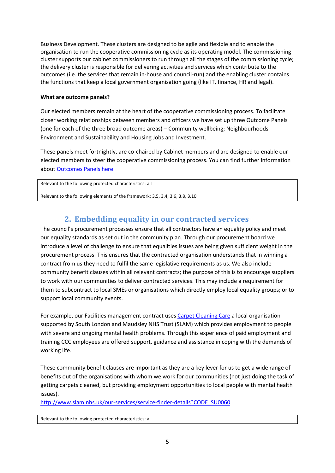Business Development. These clusters are designed to be agile and flexible and to enable the organisation to run the cooperative commissioning cycle as its operating model. The commissioning cluster supports our cabinet commissioners to run through all the stages of the commissioning cycle; the delivery cluster is responsible for delivering activities and services which contribute to the outcomes (i.e. the services that remain in-house and council-run) and the enabling cluster contains the functions that keep a local government organisation going (like IT, finance, HR and legal).

#### **What are outcome panels?**

Our elected members remain at the heart of the cooperative commissioning process. To facilitate closer working relationships between members and officers we have set up three Outcome Panels (one for each of the three broad outcome areas) – Community wellbeing; Neighbourhoods Environment and Sustainability and Housing Jobs and Investment.

These panels meet fortnightly, are co-chaired by Cabinet members and are designed to enable our elected members to steer the cooperative commissioning process. You can find further information about [Outcomes Panels here.](http://sharepoint.lambeth.gov.uk/sites/lts/CommunicationsConsultations/Public%20documents/LN%20bulletin/140912/Internal%20comms_Outcomes%20Panels%20QA_FINAL.pdf)

Relevant to the following protected characteristics: all

<span id="page-5-0"></span>Relevant to the following elements of the framework: 3.5, 3.4, 3.6, 3.8, 3.10

# **2. Embedding equality in our contracted services**

The council's procurement processes ensure that all contractors have an equality policy and meet our equality standards as set out in the community plan. Through our procurement board we introduce a level of challenge to ensure that equalities issues are being given sufficient weight in the procurement process. This ensures that the contracted organisation understands that in winning a contract from us they need to fulfil the same legislative requirements as us. We also include community benefit clauses within all relevant contracts; the purpose of this is to encourage suppliers to work with our communities to deliver contracted services. This may include a requirement for them to subcontract to local SMEs or organisations which directly employ local equality groups; or to support local community events.

For example, our Facilities management contract use[s Carpet Cleaning Care a](http://www.slam.nhs.uk/our-services/service-finder-details?CODE=SU0060) local organisation supported by South London and Maudsley NHS Trust (SLAM) which provides employment to people with severe and ongoing mental health problems. Through this experience of paid employment and training CCC employees are offered support, guidance and assistance in coping with the demands of working life.

These community benefit clauses are important as they are a key lever for us to get a wide range of benefits out of the organisations with whom we work for our communities (not just doing the task of getting carpets cleaned, but providing employment opportunities to local people with mental health issues).

<http://www.slam.nhs.uk/our-services/service-finder-details?CODE=SU0060>

Relevant to the following protected characteristics: all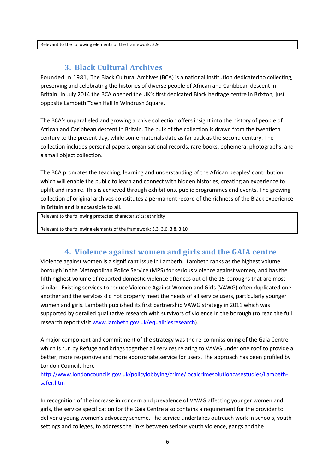<span id="page-6-0"></span>Relevant to the following elements of the framework: 3.9

### **3. Black Cultural Archives**

Founded in 1981, The Black Cultural Archives (BCA) is a national institution dedicated to collecting, preserving and celebrating the histories of diverse people of African and Caribbean descent in Britain. In July 2014 the BCA opened the UK's first dedicated Black heritage centre in Brixton, just opposite Lambeth Town Hall in Windrush Square.

The BCA's unparalleled and growing archive collection offers insight into the history of people of African and Caribbean descent in Britain. The bulk of the collection is drawn from the twentieth century to the present day, while some materials date as far back as the second century. The collection includes personal papers, organisational records, rare books, ephemera, photographs, and a small object collection.

The BCA promotes the teaching, learning and understanding of the African peoples' contribution, which will enable the public to learn and connect with hidden histories, creating an experience to uplift and inspire. This is achieved through exhibitions, public programmes and events. The growing collection of original archives constitutes a permanent record of the richness of the Black experience in Britain and is accessible to all.

Relevant to the following protected characteristics: ethnicity

<span id="page-6-1"></span>Relevant to the following elements of the framework: 3.3, 3.6, 3.8, 3.10

#### **4. Violence against women and girls and the GAIA centre**

Violence against women is a significant issue in Lambeth. Lambeth ranks as the highest volume borough in the Metropolitan Police Service (MPS) for serious violence against women, and has the fifth highest volume of reported domestic violence offences out of the 15 boroughs that are most similar. Existing services to reduce Violence Against Women and Girls (VAWG) often duplicated one another and the services did not properly meet the needs of all service users, particularly younger women and girls. Lambeth published its first partnership VAWG strategy in 2011 which was supported by detailed qualitative research with survivors of violence in the borough (to read the full research report visi[t www.lambeth.gov.uk/equalitiesresearch\)](http://www.lambeth.gov.uk/equalitiesresearch).

A major component and commitment of the strategy was the re-commissioning of the Gaia Centre which is run by Refuge and brings together all services relating to VAWG under one roof to provide a better, more responsive and more appropriate service for users. The approach has been profiled by London Councils here

#### [http://www.londoncouncils.gov.uk/policylobbying/crime/localcrimesolutioncasestudies/Lambeth](http://www.londoncouncils.gov.uk/policylobbying/crime/localcrimesolutioncasestudies/Lambeth-safer.htm)[safer.htm](http://www.londoncouncils.gov.uk/policylobbying/crime/localcrimesolutioncasestudies/Lambeth-safer.htm)

In recognition of the increase in concern and prevalence of VAWG affecting younger women and girls, the service specification for the Gaia Centre also contains a requirement for the provider to deliver a young women's advocacy scheme. The service undertakes outreach work in schools, youth settings and colleges, to address the links between serious youth violence, gangs and the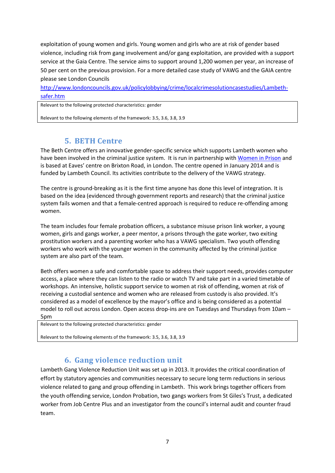exploitation of young women and girls. Young women and girls who are at risk of gender based violence, including risk from gang involvement and/or gang exploitation, are provided with a support service at the Gaia Centre. The service aims to support around 1,200 women per year, an increase of 50 per cent on the previous provision. For a more detailed case study of VAWG and the GAIA centre please see London Councils

[http://www.londoncouncils.gov.uk/policylobbying/crime/localcrimesolutioncasestudies/Lambeth](http://www.londoncouncils.gov.uk/policylobbying/crime/localcrimesolutioncasestudies/Lambeth-safer.htm)[safer.htm](http://www.londoncouncils.gov.uk/policylobbying/crime/localcrimesolutioncasestudies/Lambeth-safer.htm) 

Relevant to the following protected characteristics: gender

<span id="page-7-0"></span>Relevant to the following elements of the framework: 3.5, 3.6, 3.8, 3.9

### **5. BETH Centre**

The Beth Centre offers an innovative gender-specific service which supports Lambeth women who have been involved in the criminal justice system. It is run in partnership wit[h Women in Prison](http://www.womeninprison.org.uk/) and is based at Eaves' centre on Brixton Road, in London. The centre opened in January 2014 and is funded by Lambeth Council. Its activities contribute to the delivery of the VAWG strategy.

The centre is ground-breaking as it is the first time anyone has done this level of integration. It is based on the idea (evidenced through government reports and research) that the criminal justice system fails women and that a female-centred approach is required to reduce re-offending among women.

The team includes four female probation officers, a substance misuse prison link worker, a young women, girls and gangs worker, a peer mentor, a prisons through the gate worker, two exiting prostitution workers and a parenting worker who has a VAWG specialism. Two youth offending workers who work with the younger women in the community affected by the criminal justice system are also part of the team.

Beth offers women a safe and comfortable space to address their support needs, provides computer access, a place where they can listen to the radio or watch TV and take part in a varied timetable of workshops. An intensive, holistic support service to women at risk of offending, women at risk of receiving a custodial sentence and women who are released from custody is also provided. It's considered as a model of excellence by the mayor's office and is being considered as a potential model to roll out across London. Open access drop-ins are on Tuesdays and Thursdays from 10am – 5pm

Relevant to the following protected characteristics: gender

<span id="page-7-1"></span>Relevant to the following elements of the framework: 3.5, 3.6, 3.8, 3.9

#### **6. Gang violence reduction unit**

Lambeth Gang Violence Reduction Unit was set up in 2013. It provides the critical coordination of effort by statutory agencies and communities necessary to secure long term reductions in serious violence related to gang and group offending in Lambeth. This work brings together officers from the youth offending service, London Probation, two gangs workers from St Giles's Trust, a dedicated worker from Job Centre Plus and an investigator from the council's internal audit and counter fraud team.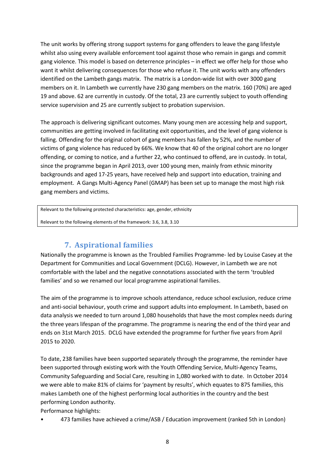The unit works by offering strong support systems for gang offenders to leave the gang lifestyle whilst also using every available enforcement tool against those who remain in gangs and commit gang violence. This model is based on deterrence principles – in effect we offer help for those who want it whilst delivering consequences for those who refuse it. The unit works with any offenders identified on the Lambeth gangs matrix. The matrix is a London-wide list with over 3000 gang members on it. In Lambeth we currently have 230 gang members on the matrix. 160 (70%) are aged 19 and above. 62 are currently in custody. Of the total, 23 are currently subject to youth offending service supervision and 25 are currently subject to probation supervision.

The approach is delivering significant outcomes. Many young men are accessing help and support, communities are getting involved in facilitating exit opportunities, and the level of gang violence is falling. Offending for the original cohort of gang members has fallen by 52%, and the number of victims of gang violence has reduced by 66%. We know that 40 of the original cohort are no longer offending, or coming to notice, and a further 22, who continued to offend, are in custody. In total, since the programme began in April 2013, over 100 young men, mainly from ethnic minority backgrounds and aged 17-25 years, have received help and support into education, training and employment. A Gangs Multi-Agency Panel (GMAP) has been set up to manage the most high risk gang members and victims.

Relevant to the following protected characteristics: age, gender, ethnicity

<span id="page-8-0"></span>Relevant to the following elements of the framework: 3.6, 3.8, 3.10

# **7. Aspirational families**

Nationally the programme is known as the Troubled Families Programme- led by Louise Casey at the Department for Communities and Local Government (DCLG). However, in Lambeth we are not comfortable with the label and the negative connotations associated with the term 'troubled families' and so we renamed our local programme aspirational families.

The aim of the programme is to improve schools attendance, reduce school exclusion, reduce crime and anti-social behaviour, youth crime and support adults into employment. In Lambeth, based on data analysis we needed to turn around 1,080 households that have the most complex needs during the three years lifespan of the programme. The programme is nearing the end of the third year and ends on 31st March 2015. DCLG have extended the programme for further five years from April 2015 to 2020.

To date, 238 families have been supported separately through the programme, the reminder have been supported through existing work with the Youth Offending Service, Multi-Agency Teams, Community Safeguarding and Social Care, resulting in 1,080 worked with to date. In October 2014 we were able to make 81% of claims for 'payment by results', which equates to 875 families, this makes Lambeth one of the highest performing local authorities in the country and the best performing London authority.

Performance highlights:

• 473 families have achieved a crime/ASB / Education improvement (ranked 5th in London)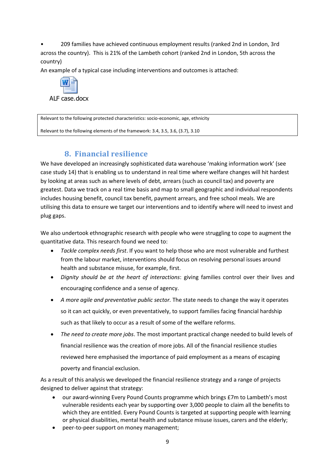• 209 families have achieved continuous employment results (ranked 2nd in London, 3rd across the country). This is 21% of the Lambeth cohort (ranked 2nd in London, 5th across the country)

An example of a typical case including interventions and outcomes is attached:



ALF case.docx

Relevant to the following protected characteristics: socio-economic, age, ethnicity

<span id="page-9-0"></span>Relevant to the following elements of the framework: 3.4, 3.5, 3.6, (3.7), 3.10

### **8. Financial resilience**

We have developed an increasingly sophisticated data warehouse 'making information work' (see case study 14) that is enabling us to understand in real time where welfare changes will hit hardest by looking at areas such as where levels of debt, arrears (such as council tax) and poverty are greatest. Data we track on a real time basis and map to small geographic and individual respondents includes housing benefit, council tax benefit, payment arrears, and free school meals. We are utilising this data to ensure we target our interventions and to identify where will need to invest and plug gaps.

We also undertook ethnographic research with people who were struggling to cope to augment the quantitative data. This research found we need to:

- *Tackle complex needs first*. If you want to help those who are most vulnerable and furthest from the labour market, interventions should focus on resolving personal issues around health and substance misuse, for example, first.
- *Dignity should be at the heart of interactions*: giving families control over their lives and encouraging confidence and a sense of agency.
- *A more agile and preventative public sector.* The state needs to change the way it operates so it can act quickly, or even preventatively, to support families facing financial hardship such as that likely to occur as a result of some of the welfare reforms.
- *The need to create more jobs*. The most important practical change needed to build levels of financial resilience was the creation of more jobs. All of the financial resilience studies reviewed here emphasised the importance of paid employment as a means of escaping poverty and financial exclusion.

As a result of this analysis we developed the financial resilience strategy and a range of projects designed to deliver against that strategy:

- our award-winning Every Pound Counts programme which brings £7m to Lambeth's most vulnerable residents each year by supporting over 3,000 people to claim all the benefits to which they are entitled. Every Pound Counts is targeted at supporting people with learning or physical disabilities, mental health and substance misuse issues, carers and the elderly;
- peer-to-peer support on money management;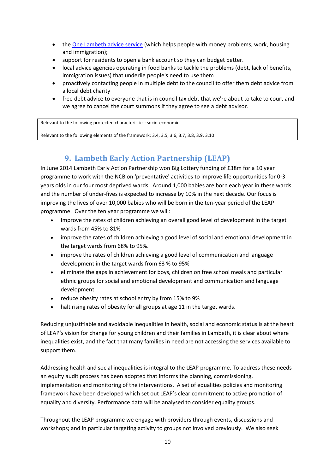- th[e One Lambeth advice service](http://www.onelambethadvice.org.uk/) (which helps people with money problems, work, housing and immigration);
- support for residents to open a bank account so they can budget better.
- local advice agencies operating in food banks to tackle the problems (debt, lack of benefits, immigration issues) that underlie people's need to use them
- proactively contacting people in multiple debt to the council to offer them debt advice from a local debt charity
- free debt advice to everyone that is in council tax debt that we're about to take to court and we agree to cancel the court summons if they agree to see a debt advisor.

Relevant to the following protected characteristics: socio-economic

<span id="page-10-0"></span>Relevant to the following elements of the framework: 3.4, 3.5, 3.6, 3.7, 3.8, 3.9, 3.10

# **9. Lambeth Early Action Partnership (LEAP)**

In June 2014 Lambeth Early Action Partnership won Big Lottery funding of £38m for a 10 year programme to work with the NCB on 'preventative' activities to improve life opportunities for 0-3 years olds in our four most deprived wards. Around 1,000 babies are born each year in these wards and the number of under-fives is expected to increase by 10% in the next decade. Our focus is improving the lives of over 10,000 babies who will be born in the ten-year period of the LEAP programme. Over the ten year programme we will:

- Improve the rates of children achieving an overall good level of development in the target wards from 45% to 81%
- improve the rates of children achieving a good level of social and emotional development in the target wards from 68% to 95%.
- improve the rates of children achieving a good level of communication and language development in the target wards from 63 % to 95%
- eliminate the gaps in achievement for boys, children on free school meals and particular ethnic groups for social and emotional development and communication and language development.
- reduce obesity rates at school entry by from 15% to 9%
- halt rising rates of obesity for all groups at age 11 in the target wards.

Reducing unjustifiable and avoidable inequalities in health, social and economic status is at the heart of LEAP's vision for change for young children and their families in Lambeth, it is clear about where inequalities exist, and the fact that many families in need are not accessing the services available to support them.

Addressing health and social inequalities is integral to the LEAP programme. To address these needs an equity audit process has been adopted that informs the planning, commissioning, implementation and monitoring of the interventions. A set of equalities policies and monitoring framework have been developed which set out LEAP's clear commitment to active promotion of equality and diversity. Performance data will be analysed to consider equality groups.

Throughout the LEAP programme we engage with providers through events, discussions and workshops; and in particular targeting activity to groups not involved previously. We also seek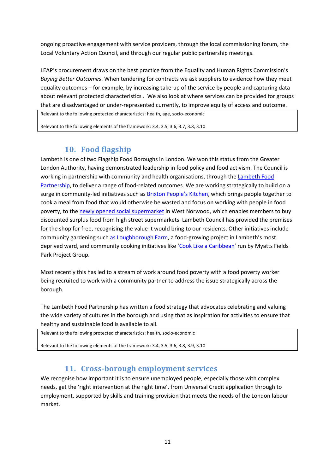ongoing proactive engagement with service providers, through the local commissioning forum, the Local Voluntary Action Council, and through our regular public partnership meetings.

LEAP's procurement draws on the best practice from the Equality and Human Rights Commission's Buying Better Outcomes. When tendering for contracts we ask suppliers to evidence how they meet equality outcomes – for example, by increasing take-up of the service by people and capturing data about relevant protected characteristics. We also look at where services can be provided for groups that are disadvantaged or under-represented currently, to improve equity of access and outcome.

Relevant to the following protected characteristics: health, age, socio-economic

<span id="page-11-0"></span>Relevant to the following elements of the framework: 3.4, 3.5, 3.6, 3.7, 3.8, 3.10

# 10. Food flagship

Lambeth is one of two Flagship Food Boroughs in London. We won this status from the Greater London Authority, having demonstrated leadership in food policy and food activism. The Council is working in partnership with community and health organisations, through the Lambeth Food Partnership, to deliver a range of food-related outcomes. We are working strategically to build on a surge in community-led initiatives such as Brixton People's Kitchen, which brings people together to cook a meal from food that would otherwise be wasted and focus on working with people in food poverty, to the newly opened social supermarket in West Norwood, which enables members to buy discounted surplus food from high street supermarkets. Lambeth Council has provided the premises for the shop for free, recognising the value it would bring to our residents. Other initiatives include community gardening such as Loughborough Farm, a food-growing project in Lambeth's most deprived ward, and community cooking initiatives like 'Cook Like a Caribbean' run by Myatts Fields Park Project Group.

Most recently this has led to a stream of work around food poverty with a food poverty worker being recruited to work with a community partner to address the issue strategically across the borough.

The Lambeth Food Partnership has written a food strategy that advocates celebrating and valuing the wide variety of cultures in the borough and using that as inspiration for activities to ensure that healthy and sustainable food is available to all.

```
Relevant to the following protected characteristics: health, socio-economic
```
<span id="page-11-1"></span>Relevant to the following elements of the framework: 3.4, 3.5, 3.6, 3.8, 3.9, 3.10

### 11. Cross-borough employment services

We recognise how important it is to ensure unemployed people, especially those with complex needs, get the 'right intervention at the right time', from Universal Credit application through to employment, supported by skills and training provision that meets the needs of the London labour market.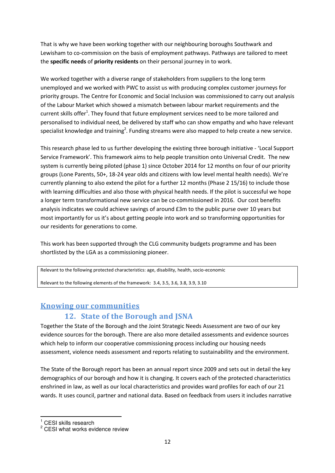That is why we have been working together with our neighbouring boroughs Southwark and Lewisham to co-commission on the basis of employment pathways. Pathways are tailored to meet the **specific needs** of **priority residents** on their personal journey in to work.

We worked together with a diverse range of stakeholders from suppliers to the long term unemployed and we worked with PWC to assist us with producing complex customer journeys for priority groups. The Centre for Economic and Social Inclusion was commissioned to carry out analysis of the Labour Market which showed a mismatch between labour market requirements and the current skills offer<sup>1</sup>. They found that future employment services need to be more tailored and personalised to individual need, be delivered by staff who can show empathy and who have relevant specialist knowledge and training<sup>2</sup>. Funding streams were also mapped to help create a new service.

This research phase led to us further developing the existing three borough initiative - 'Local Support Service Framework'. This framework aims to help people transition onto Universal Credit. The new system is currently being piloted (phase 1) since October 2014 for 12 months on four of our priority groups (Lone Parents, 50+, 18-24 year olds and citizens with low level mental health needs). We're currently planning to also extend the pilot for a further 12 months (Phase 2 15/16) to include those with learning difficulties and also those with physical health needs. If the pilot is successful we hope a longer term transformational new service can be co-commissioned in 2016. Our cost benefits analysis indicates we could achieve savings of around £3m to the public purse over 10 years but most importantly for us it's about getting people into work and so transforming opportunities for our residents for generations to come.

This work has been supported through the CLG community budgets programme and has been shortlisted by the LGA as a commissioning pioneer.

Relevant to the following protected characteristics: age, disability, health, socio-economic

Relevant to the following elements of the framework: 3.4, 3.5, 3.6, 3.8, 3.9, 3.10

### <span id="page-12-1"></span><span id="page-12-0"></span>**Knowing our communities**

# **12. State of the Borough and JSNA**

Together the State of the Borough and the Joint Strategic Needs Assessment are two of our key evidence sources for the borough. There are also more detailed assessments and evidence sources which help to inform our cooperative commissioning process including our housing needs assessment, violence needs assessment and reports relating to sustainability and the environment.

The State of the Borough report has been an annual report since 2009 and sets out in detail the key demographics of our borough and how it is changing. It covers each of the protected characteristics enshrined in law, as well as our local characteristics and provides ward profiles for each of our 21 wards. It uses council, partner and national data. Based on feedback from users it includes narrative

-

<sup>1</sup> CESI skills research

<sup>&</sup>lt;sup>2</sup> CESI what works evidence review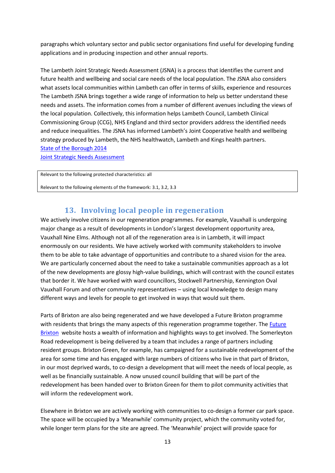paragraphs which voluntary sector and public sector organisations find useful for developing funding applications and in producing inspection and other annual reports.

The Lambeth Joint Strategic Needs Assessment (JSNA) is a process that identifies the current and future health and wellbeing and social care needs of the local population. The JSNA also considers what assets local communities within Lambeth can offer in terms of skills, experience and resources The Lambeth JSNA brings together a wide range of information to help us better understand these needs and assets. The information comes from a number of different avenues including the views of the local population. Collectively, this information helps Lambeth Council, Lambeth Clinical Commissioning Group (CCG), NHS England and third sector providers address the identified needs and reduce inequalities. The JSNA has informed Lambeth's Joint Cooperative health and wellbeing strategy produced by Lambeth, the NHS healthwatch, Lambeth and Kings health partners. [State of the Borough 2014](http://lambeth.gov.uk/sites/default/files/ec-lambeth-council-state-of-the-borough-2014_0.pdf)

[Joint Strategic Needs Assessment](http://lambeth.gov.uk/social-support-and-health/public-health/lambeth%E2%80%99s-health-profile-and-the-jsna)

Relevant to the following protected characteristics: all

<span id="page-13-0"></span>Relevant to the following elements of the framework: 3.1, 3.2, 3.3

### **13. Involving local people in regeneration**

We actively involve citizens in our regeneration programmes. For example, Vauxhall is undergoing major change as a result of developments in London's largest development opportunity area, Vauxhall Nine Elms. Although not all of the regeneration area is in Lambeth, it will impact enormously on our residents. We have actively worked with community stakeholders to involve them to be able to take advantage of opportunities and contribute to a shared vision for the area. We are particularly concerned about the need to take a sustainable communities approach as a lot of the new developments are glossy high-value buildings, which will contrast with the council estates that border it. We have worked with ward councillors, Stockwell Partnership, Kennington Oval Vauxhall Forum and other community representatives – using local knowledge to design many different ways and levels for people to get involved in ways that would suit them.

Parts of Brixton are also being regenerated and we have developed a Future Brixton programme with residents that brings the many aspects of this regeneration programme together. The Future [Brixton](http://futurebrixton.org/) website hosts a wealth of information and highlights ways to get involved. The Somerleyton Road redevelopment is being delivered by a team that includes a range of partners including resident groups. Brixton Green, for example, has campaigned for a sustainable redevelopment of the area for some time and has engaged with large numbers of citizens who live in that part of Brixton, in our most deprived wards, to co-design a development that will meet the needs of local people, as well as be financially sustainable. A now unused council building that will be part of the redevelopment has been handed over to Brixton Green for them to pilot community activities that will inform the redevelopment work.

Elsewhere in Brixton we are actively working with communities to co-design a former car park space. The space will be occupied by a 'Meanwhile' community project, which the community voted for, while longer term plans for the site are agreed. The 'Meanwhile' project will provide space for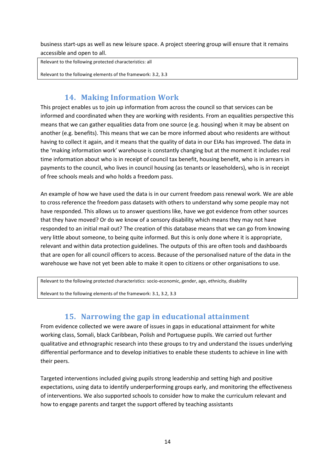business start-ups as well as new leisure space. A project steering group will ensure that it remains accessible and open to all.

Relevant to the following protected characteristics: all

<span id="page-14-0"></span>Relevant to the following elements of the framework: 3.2, 3.3

## **14. Making Information Work**

This project enables us to join up information from across the council so that services can be informed and coordinated when they are working with residents. From an equalities perspective this means that we can gather equalities data from one source (e.g. housing) when it may be absent on another (e.g. benefits). This means that we can be more informed about who residents are without having to collect it again, and it means that the quality of data in our EIAs has improved. The data in the 'making information work' warehouse is constantly changing but at the moment it includes real time information about who is in receipt of council tax benefit, housing benefit, who is in arrears in payments to the council, who lives in council housing (as tenants or leaseholders), who is in receipt of free schools meals and who holds a freedom pass.

An example of how we have used the data is in our current freedom pass renewal work. We are able to cross reference the freedom pass datasets with others to understand why some people may not have responded. This allows us to answer questions like, have we got evidence from other sources that they have moved? Or do we know of a sensory disability which means they may not have responded to an initial mail out? The creation of this database means that we can go from knowing very little about someone, to being quite informed. But this is only done where it is appropriate, relevant and within data protection guidelines. The outputs of this are often tools and dashboards that are open for all council officers to access. Because of the personalised nature of the data in the warehouse we have not yet been able to make it open to citizens or other organisations to use.

Relevant to the following protected characteristics: socio-economic, gender, age, ethnicity, disability

<span id="page-14-1"></span>Relevant to the following elements of the framework: 3.1, 3.2, 3.3

### **15. Narrowing the gap in educational attainment**

From evidence collected we were aware of issues in gaps in educational attainment for white working class, Somali, black Caribbean, Polish and Portuguese pupils. We carried out further qualitative and ethnographic research into these groups to try and understand the issues underlying differential performance and to develop initiatives to enable these students to achieve in line with their peers.

Targeted interventions included giving pupils strong leadership and setting high and positive expectations, using data to identify underperforming groups early, and monitoring the effectiveness of interventions. We also supported schools to consider how to make the curriculum relevant and how to engage parents and target the support offered by teaching assistants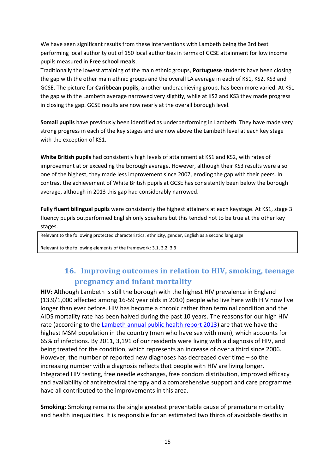We have seen significant results from these interventions with Lambeth being the 3rd best performing local authority out of 150 local authorities in terms of GCSE attainment for low income pupils measured in **Free school meals**.

Traditionally the lowest attaining of the main ethnic groups, **Portuguese** students have been closing the gap with the other main ethnic groups and the overall LA average in each of KS1, KS2, KS3 and GCSE. The picture for **Caribbean pupils**, another underachieving group, has been more varied. At KS1 the gap with the Lambeth average narrowed very slightly, while at KS2 and KS3 they made progress in closing the gap. GCSE results are now nearly at the overall borough level.

**Somali pupils** have previously been identified as underperforming in Lambeth. They have made very strong progress in each of the key stages and are now above the Lambeth level at each key stage with the exception of KS1.

**White British pupils** had consistently high levels of attainment at KS1 and KS2, with rates of improvement at or exceeding the borough average. However, although their KS3 results were also one of the highest, they made less improvement since 2007, eroding the gap with their peers. In contrast the achievement of White British pupils at GCSE has consistently been below the borough average, although in 2013 this gap had considerably narrowed.

**Fully fluent bilingual pupils** were consistently the highest attainers at each keystage. At KS1, stage 3 fluency pupils outperformed English only speakers but this tended not to be true at the other key stages.

Relevant to the following protected characteristics: ethnicity, gender, English as a second language

<span id="page-15-0"></span>Relevant to the following elements of the framework: 3.1, 3.2, 3.3

# **16. Improving outcomes in relation to HIV, smoking, teenage pregnancy and infant mortality**

**HIV:** Although Lambeth is still the borough with the highest HIV prevalence in England (13.9/1,000 affected among 16-59 year olds in 2010) people who live here with HIV now live longer than ever before. HIV has become a chronic rather than terminal condition and the AIDS mortality rate has been halved during the past 10 years. The reasons for our high HIV rate (according to the [Lambeth annual public health report 2013\)](http://www.lambeth.gov.uk/sites/default/files/AnnualPublicHealthReport2012_3.pdf) are that we have the highest MSM population in the country (men who have sex with men), which accounts for 65% of infections. By 2011, 3,191 of our residents were living with a diagnosis of HIV, and being treated for the condition, which represents an increase of over a third since 2006. However, the number of reported new diagnoses has decreased over time – so the increasing number with a diagnosis reflects that people with HIV are living longer. Integrated HIV testing, free needle exchanges, free condom distribution, improved efficacy and availability of antiretroviral therapy and a comprehensive support and care programme have all contributed to the improvements in this area.

**Smoking:** Smoking remains the single greatest preventable cause of premature mortality and health inequalities. It is responsible for an estimated two thirds of avoidable deaths in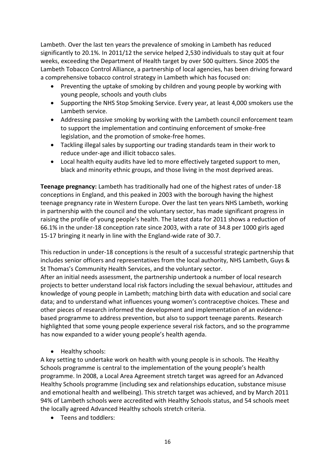Lambeth. Over the last ten years the prevalence of smoking in Lambeth has reduced significantly to 20.1%. In 2011/12 the service helped 2,530 individuals to stay quit at four weeks, exceeding the Department of Health target by over 500 quitters. Since 2005 the Lambeth Tobacco Control Alliance, a partnership of local agencies, has been driving forward a comprehensive tobacco control strategy in Lambeth which has focused on:

- Preventing the uptake of smoking by children and young people by working with young people, schools and youth clubs
- Supporting the NHS Stop Smoking Service. Every year, at least 4,000 smokers use the Lambeth service.
- Addressing passive smoking by working with the Lambeth council enforcement team to support the implementation and continuing enforcement of smoke-free legislation, and the promotion of smoke-free homes.
- Tackling illegal sales by supporting our trading standards team in their work to reduce under-age and illicit tobacco sales.
- Local health equity audits have led to more effectively targeted support to men, black and minority ethnic groups, and those living in the most deprived areas.

**Teenage pregnancy:** Lambeth has traditionally had one of the highest rates of under-18 conceptions in England, and this peaked in 2003 with the borough having the highest teenage pregnancy rate in Western Europe. Over the last ten years NHS Lambeth, working in partnership with the council and the voluntary sector, has made significant progress in raising the profile of young people's health. The latest data for 2011 shows a reduction of 66.1% in the under-18 conception rate since 2003, with a rate of 34.8 per 1000 girls aged 15-17 bringing it nearly in line with the England-wide rate of 30.7.

This reduction in under-18 conceptions is the result of a successful strategic partnership that includes senior officers and representatives from the local authority, NHS Lambeth, Guys & St Thomas's Community Health Services, and the voluntary sector.

After an initial needs assessment, the partnership undertook a number of local research projects to better understand local risk factors including the sexual behaviour, attitudes and knowledge of young people in Lambeth; matching birth data with education and social care data; and to understand what influences young women's contraceptive choices. These and other pieces of research informed the development and implementation of an evidencebased programme to address prevention, but also to support teenage parents. Research highlighted that some young people experience several risk factors, and so the programme has now expanded to a wider young people's health agenda.

• Healthy schools:

A key setting to undertake work on health with young people is in schools. The Healthy Schools programme is central to the implementation of the young people's health programme. In 2008, a Local Area Agreement stretch target was agreed for an Advanced Healthy Schools programme (including sex and relationships education, substance misuse and emotional health and wellbeing). This stretch target was achieved, and by March 2011 94% of Lambeth schools were accredited with Healthy Schools status, and 54 schools meet the locally agreed Advanced Healthy schools stretch criteria.

• Teens and toddlers: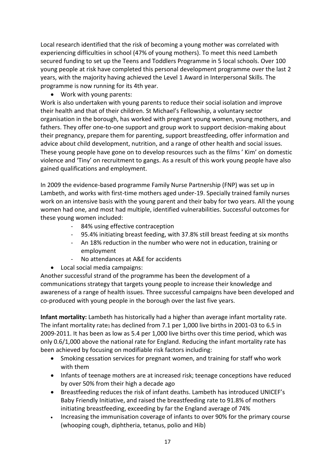Local research identified that the risk of becoming a young mother was correlated with experiencing difficulties in school (47% of young mothers). To meet this need Lambeth secured funding to set up the Teens and Toddlers Programme in 5 local schools. Over 100 young people at risk have completed this personal development programme over the last 2 years, with the majority having achieved the Level 1 Award in Interpersonal Skills. The programme is now running for its 4th year.

• Work with young parents:

Work is also undertaken with young parents to reduce their social isolation and improve their health and that of their children. St Michael's Fellowship, a voluntary sector organisation in the borough, has worked with pregnant young women, young mothers, and fathers. They offer one-to-one support and group work to support decision-making about their pregnancy, prepare them for parenting, support breastfeeding, offer information and advice about child development, nutrition, and a range of other health and social issues. These young people have gone on to develop resources such as the films' Kim' on domestic violence and 'Tiny' on recruitment to gangs. As a result of this work young people have also gained qualifications and employment.

In 2009 the evidence-based programme Family Nurse Partnership (FNP) was set up in Lambeth, and works with first-time mothers aged under-19. Specially trained family nurses work on an intensive basis with the young parent and their baby for two years. All the young women had one, and most had multiple, identified vulnerabilities. Successful outcomes for these young women included:

- 84% using effective contraception
- 95.4% initiating breast feeding, with 37.8% still breast feeding at six months
- An 18% reduction in the number who were not in education, training or employment
- No attendances at A&E for accidents
- Local social media campaigns:

Another successful strand of the programme has been the development of a communications strategy that targets young people to increase their knowledge and awareness of a range of health issues. Three successful campaigns have been developed and co-produced with young people in the borough over the last five years.

Infant mortality: Lambeth has historically had a higher than average infant mortality rate. The infant mortality rate1 has declined from 7.1 per 1,000 live births in 2001-03 to 6.5 in 2009-2011. It has been as low as 5.4 per 1,000 live births over this time period, which was only 0.6/1,000 above the national rate for England. Reducing the infant mortality rate has been achieved by focusing on modifiable risk factors including:

- Smoking cessation services for pregnant women, and training for staff who work with them
- Infants of teenage mothers are at increased risk; teenage conceptions have reduced by over 50% from their high a decade ago
- Breastfeeding reduces the risk of infant deaths. Lambeth has introduced UNICEF's  $\bullet$ Baby Friendly Initiative, and raised the breastfeeding rate to 91.8% of mothers initiating breastfeeding, exceeding by far the England average of 74%
- Increasing the immunisation coverage of infants to over 90% for the primary course  $\bullet$ (whooping cough, diphtheria, tetanus, polio and Hib)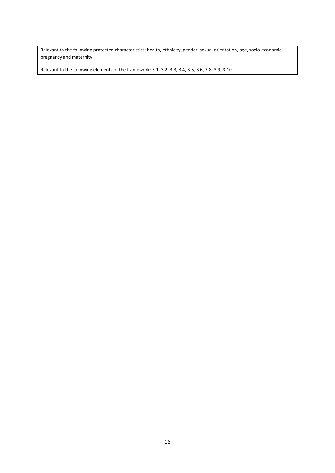Relevant to the following protected characteristics: health, ethnicity, gender, sexual orientation, age, socio-economic, pregnancy and maternity

Relevant to the following elements of the framework: 3.1, 3.2, 3.3, 3.4, 3.5, 3.6, 3.8, 3.9, 3.10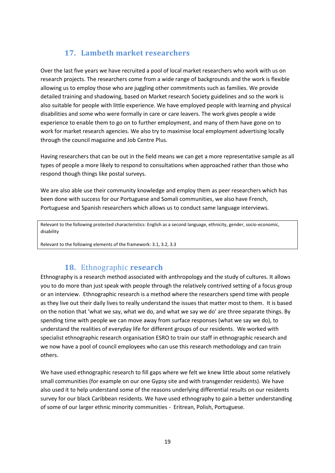# **17. Lambeth market researchers**

<span id="page-19-0"></span>Over the last five years we have recruited a pool of local market researchers who work with us on research projects. The researchers come from a wide range of backgrounds and the work is flexible allowing us to employ those who are juggling other commitments such as families. We provide detailed training and shadowing, based on Market research Society guidelines and so the work is also suitable for people with little experience. We have employed people with learning and physical disabilities and some who were formally in care or care leavers. The work gives people a wide experience to enable them to go on to further employment, and many of them have gone on to work for market research agencies. We also try to maximise local employment advertising locally through the council magazine and Job Centre Plus.

Having researchers that can be out in the field means we can get a more representative sample as all types of people a more likely to respond to consultations when approached rather than those who respond though things like postal surveys.

We are also able use their community knowledge and employ them as peer researchers which has been done with success for our Portuguese and Somali communities, we also have French, Portuguese and Spanish researchers which allows us to conduct same language interviews.

Relevant to the following protected characteristics: English as a second language, ethnicity, gender, socio-economic, disability

<span id="page-19-1"></span>Relevant to the following elements of the framework: 3.1, 3.2, 3.3

# **18.** Ethnographic **research**

Ethnography is a research method associated with anthropology and the study of cultures. It allows you to do more than just speak with people through the relatively contrived setting of a focus group or an interview. Ethnographic research is a method where the researchers spend time with people as they live out their daily lives to really understand the issues that matter most to them. It is based on the notion that 'what we say, what we do, and what we say we do' are three separate things. By spending time with people we can move away from surface responses (what we say we do), to understand the realities of everyday life for different groups of our residents. We worked with specialist ethnographic research organisation ESRO to train our staff in ethnographic research and we now have a pool of council employees who can use this research methodology and can train others.

We have used ethnographic research to fill gaps where we felt we knew little about some relatively small communities (for example on our one Gypsy site and with transgender residents). We have also used it to help understand some of the reasons underlying differential results on our residents survey for our black Caribbean residents. We have used ethnography to gain a better understanding of some of our larger ethnic minority communities - Eritrean, Polish, Portuguese.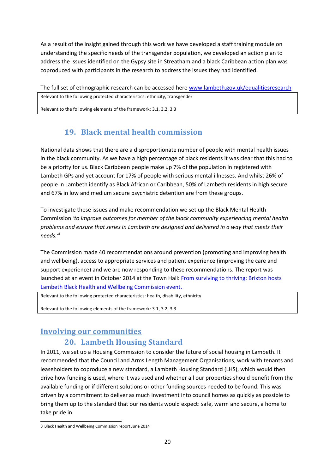As a result of the insight gained through this work we have developed a staff training module on understanding the specific needs of the transgender population, we developed an action plan to address the issues identified on the Gypsy site in Streatham and a black Caribbean action plan was coproduced with participants in the research to address the issues they had identified.

The full set of ethnographic research can be accessed here www.lambeth.gov.uk/equalitiesresearch Relevant to the following protected characteristics: ethnicity, transgender

<span id="page-20-0"></span>Relevant to the following elements of the framework: 3.1, 3.2, 3.3

# 19. Black mental health commission

National data shows that there are a disproportionate number of people with mental health issues in the black community. As we have a high percentage of black residents it was clear that this had to be a priority for us. Black Caribbean people make up 7% of the population in registered with Lambeth GPs and yet account for 17% of people with serious mental illnesses. And whilst 26% of people in Lambeth identify as Black African or Caribbean, 50% of Lambeth residents in high secure and 67% in low and medium secure psychiatric detention are from these groups.

To investigate these issues and make recommendation we set up the Black Mental Health Commission 'to improve outcomes for member of the black community experiencing mental health problems and ensure that series in Lambeth are designed and delivered in a way that meets their needs. $\beta$ 

The Commission made 40 recommendations around prevention (promoting and improving health and wellbeing), access to appropriate services and patient experience (improving the care and support experience) and we are now responding to these recommendations. The report was launched at an event in October 2014 at the Town Hall: From surviving to thriving: Brixton hosts Lambeth Black Health and Wellbeing Commission event.

Relevant to the following protected characteristics: health, disability, ethnicity

Relevant to the following elements of the framework: 3.1, 3.2, 3.3

### <span id="page-20-2"></span><span id="page-20-1"></span>**Involving our communities**

# **20. Lambeth Housing Standard**

In 2011, we set up a Housing Commission to consider the future of social housing in Lambeth. It recommended that the Council and Arms Length Management Organisations, work with tenants and leaseholders to coproduce a new standard, a Lambeth Housing Standard (LHS), which would then drive how funding is used, where it was used and whether all our properties should benefit from the available funding or if different solutions or other funding sources needed to be found. This was driven by a commitment to deliver as much investment into council homes as quickly as possible to bring them up to the standard that our residents would expect: safe, warm and secure, a home to take pride in.

<sup>3</sup> Black Health and Wellbeing Commission report June 2014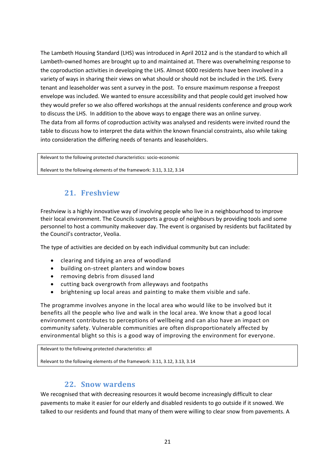The Lambeth Housing Standard (LHS) was introduced in April 2012 and is the standard to which all Lambeth-owned homes are brought up to and maintained at. There was overwhelming response to the coproduction activities in developing the LHS. Almost 6000 residents have been involved in a variety of ways in sharing their views on what should or should not be included in the LHS. Every tenant and leaseholder was sent a survey in the post. To ensure maximum response a freepost envelope was included. We wanted to ensure accessibility and that people could get involved how they would prefer so we also offered workshops at the annual residents conference and group work to discuss the LHS. In addition to the above ways to engage there was an online survey. The data from all forms of coproduction activity was analysed and residents were invited round the table to discuss how to interpret the data within the known financial constraints, also while taking into consideration the differing needs of tenants and leaseholders.

Relevant to the following protected characteristics: socio-economic

<span id="page-21-0"></span>Relevant to the following elements of the framework: 3.11, 3.12, 3.14

### **21. Freshview**

Freshview is a highly innovative way of involving people who live in a neighbourhood to improve their local environment. The Councils supports a group of neighbours by providing tools and some personnel to host a community makeover day. The event is organised by residents but facilitated by the Council's contractor, Veolia.

The type of activities are decided on by each individual community but can include:

- clearing and tidying an area of woodland
- building on-street planters and window boxes
- removing debris from disused land
- cutting back overgrowth from alleyways and footpaths
- brightening up local areas and painting to make them visible and safe.

The programme involves anyone in the local area who would like to be involved but it benefits all the people who live and walk in the local area. We know that a good local environment contributes to perceptions of wellbeing and can also have an impact on community safety. Vulnerable communities are often disproportionately affected by environmental blight so this is a good way of improving the environment for everyone.

Relevant to the following protected characteristics: all

<span id="page-21-1"></span>Relevant to the following elements of the framework: 3.11, 3.12, 3.13, 3.14

### **22. Snow wardens**

We recognised that with decreasing resources it would become increasingly difficult to clear pavements to make it easier for our elderly and disabled residents to go outside if it snowed. We talked to our residents and found that many of them were willing to clear snow from pavements. A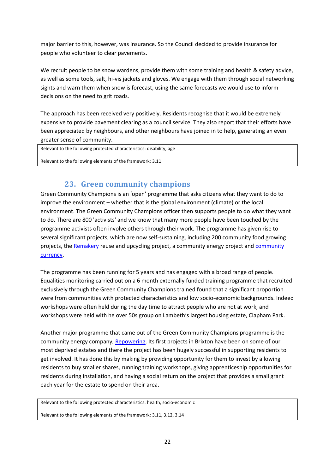major barrier to this, however, was insurance. So the Council decided to provide insurance for people who volunteer to clear pavements.

We recruit people to be snow wardens, provide them with some training and health & safety advice, as well as some tools, salt, hi-vis jackets and gloves. We engage with them through social networking sights and warn them when snow is forecast, using the same forecasts we would use to inform decisions on the need to grit roads.

The approach has been received very positively. Residents recognise that it would be extremely expensive to provide pavement clearing as a council service. They also report that their efforts have been appreciated by neighbours, and other neighbours have joined in to help, generating an even greater sense of community.

Relevant to the following protected characteristics: disability, age

<span id="page-22-0"></span>Relevant to the following elements of the framework: 3.11

### **23. Green community champions**

Green Community Champions is an 'open' programme that asks citizens what they want to do to improve the environment – whether that is the global environment (climate) or the local environment. The Green Community Champions officer then supports people to do what they want to do. There are 800 'activists' and we know that many more people have been touched by the programme activists often involve others through their work. The programme has given rise to several significant projects, which are now self-sustaining, including 200 community food growing projects, the [Remakery](http://remakery.org/) reuse and upcycling project, a community energy project and [community](http://brixtonpound.org/)  [currency.](http://brixtonpound.org/)

The programme has been running for 5 years and has engaged with a broad range of people. Equalities monitoring carried out on a 6 month externally funded training programme that recruited exclusively through the Green Community Champions trained found that a significant proportion were from communities with protected characteristics and low socio-economic backgrounds. Indeed workshops were often held during the day time to attract people who are not at work, and workshops were held with he over 50s group on Lambeth's largest housing estate, Clapham Park.

Another major programme that came out of the Green Community Champions programme is the community energy company[, Repowering.](http://www.repowering.org.uk/) Its first projects in Brixton have been on some of our most deprived estates and there the project has been hugely successful in supporting residents to get involved. It has done this by making by providing opportunity for them to invest by allowing residents to buy smaller shares, running training workshops, giving apprenticeship opportunities for residents during installation, and having a social return on the project that provides a small grant each year for the estate to spend on their area.

Relevant to the following protected characteristics: health, socio-economic

Relevant to the following elements of the framework: 3.11, 3.12, 3.14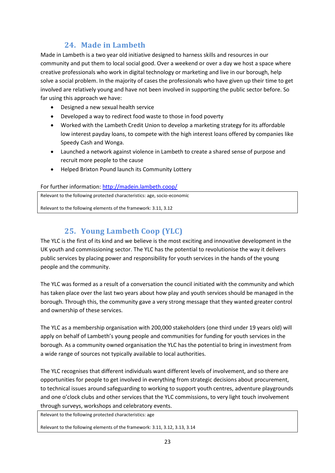# **24. Made in Lambeth**

<span id="page-23-0"></span>Made in Lambeth is a two year old initiative designed to harness skills and resources in our community and put them to local social good. Over a weekend or over a day we host a space where creative professionals who work in digital technology or marketing and live in our borough, help solve a social problem. In the majority of cases the professionals who have given up their time to get involved are relatively young and have not been involved in supporting the public sector before. So far using this approach we have:

- Designed a new sexual health service
- Developed a way to redirect food waste to those in food poverty
- Worked with the Lambeth Credit Union to develop a marketing strategy for its affordable low interest payday loans, to compete with the high interest loans offered by companies like Speedy Cash and Wonga.
- Launched a network against violence in Lambeth to create a shared sense of purpose and recruit more people to the cause
- Helped Brixton Pound launch its Community Lottery

#### For further information:<http://madein.lambeth.coop/>

Relevant to the following protected characteristics: age, socio-economic

<span id="page-23-1"></span>Relevant to the following elements of the framework: 3.11, 3.12

# **25. Young Lambeth Coop (YLC)**

The YLC is the first of its kind and we believe is the most exciting and innovative development in the UK youth and commissioning sector. The YLC has the potential to revolutionise the way it delivers public services by placing power and responsibility for youth services in the hands of the young people and the community.

The YLC was formed as a result of a conversation the council initiated with the community and which has taken place over the last two years about how play and youth services should be managed in the borough. Through this, the community gave a very strong message that they wanted greater control and ownership of these services.

The YLC as a membership organisation with 200,000 stakeholders (one third under 19 years old) will apply on behalf of Lambeth's young people and communities for funding for youth services in the borough. As a community owned organisation the YLC has the potential to bring in investment from a wide range of sources not typically available to local authorities.

The YLC recognises that different individuals want different levels of involvement, and so there are opportunities for people to get involved in everything from strategic decisions about procurement, to technical issues around safeguarding to working to support youth centres, adventure playgrounds and one o'clock clubs and other services that the YLC commissions, to very light touch involvement through surveys, workshops and celebratory events.

Relevant to the following protected characteristics: age

Relevant to the following elements of the framework: 3.11, 3.12, 3.13, 3.14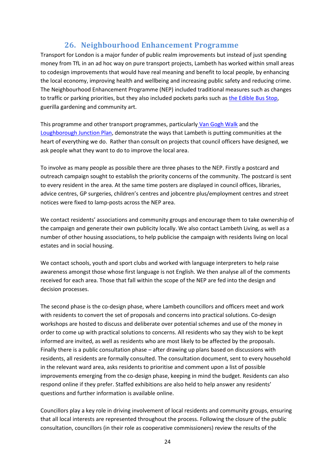# **26. Neighbourhood Enhancement Programme**

<span id="page-24-0"></span>Transport for London is a major funder of public realm improvements but instead of just spending money from TfL in an ad hoc way on pure transport projects, Lambeth has worked within small areas to codesign improvements that would have real meaning and benefit to local people, by enhancing the local economy, improving health and wellbeing and increasing public safety and reducing crime. The Neighbourhood Enhancement Programme (NEP) included traditional measures such as changes to traffic or parking priorities, but they also included pockets parks such as [the Edible Bus Stop,](http://www.theediblebusstop.org/) guerilla gardening and community art.

This programme and other transport programmes, particularl[y Van Gogh Walk](http://www.vangoghwalk.org/) and the [Loughborough Junction Plan,](http://www.loughboroughjunction.org/masterplanning) demonstrate the ways that Lambeth is putting communities at the heart of everything we do. Rather than consult on projects that council officers have designed, we ask people what they want to do to improve the local area.

To involve as many people as possible there are three phases to the NEP. Firstly a postcard and outreach campaign sought to establish the priority concerns of the community. The postcard is sent to every resident in the area. At the same time posters are displayed in council offices, libraries, advice centres, GP surgeries, children's centres and jobcentre plus/employment centres and street notices were fixed to lamp-posts across the NEP area.

We contact residents' associations and community groups and encourage them to take ownership of the campaign and generate their own publicity locally. We also contact Lambeth Living, as well as a number of other housing associations, to help publicise the campaign with residents living on local estates and in social housing.

We contact schools, youth and sport clubs and worked with language interpreters to help raise awareness amongst those whose first language is not English. We then analyse all of the comments received for each area. Those that fall within the scope of the NEP are fed into the design and decision processes.

The second phase is the co-design phase, where Lambeth councillors and officers meet and work with residents to convert the set of proposals and concerns into practical solutions. Co-design workshops are hosted to discuss and deliberate over potential schemes and use of the money in order to come up with practical solutions to concerns. All residents who say they wish to be kept informed are invited, as well as residents who are most likely to be affected by the proposals. Finally there is a public consultation phase – after drawing up plans based on discussions with residents, all residents are formally consulted. The consultation document, sent to every household in the relevant ward area, asks residents to prioritise and comment upon a list of possible improvements emerging from the co-design phase, keeping in mind the budget. Residents can also respond online if they prefer. Staffed exhibitions are also held to help answer any residents' questions and further information is available online.

Councillors play a key role in driving involvement of local residents and community groups, ensuring that all local interests are represented throughout the process. Following the closure of the public consultation, councillors (in their role as cooperative commissioners) review the results of the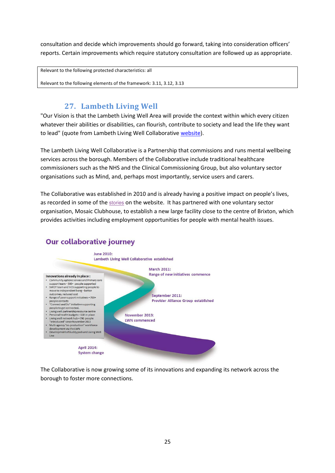consultation and decide which improvements should go forward, taking into consideration officers' reports. Certain improvements which require statutory consultation are followed up as appropriate.

Relevant to the following protected characteristics: all

<span id="page-25-0"></span>Relevant to the following elements of the framework: 3.11, 3.12, 3.13

# 27. Lambeth Living Well

"Our Vision is that the Lambeth Living Well Area will provide the context within which every citizen whatever their abilities or disabilities, can flourish, contribute to society and lead the life they want to lead" (quote from Lambeth Living Well Collaborative website).

The Lambeth Living Well Collaborative is a Partnership that commissions and runs mental wellbeing services across the borough. Members of the Collaborative include traditional healthcare commissioners such as the NHS and the Clinical Commissioning Group, but also voluntary sector organisations such as Mind, and, perhaps most importantly, service users and carers.

The Collaborative was established in 2010 and is already having a positive impact on people's lives, as recorded in some of the stories on the website. It has partnered with one voluntary sector organisation, Mosaic Clubhouse, to establish a new large facility close to the centre of Brixton, which provides activities including employment opportunities for people with mental health issues.



# **Our collaborative journey**

The Collaborative is now growing some of its innovations and expanding its network across the borough to foster more connections.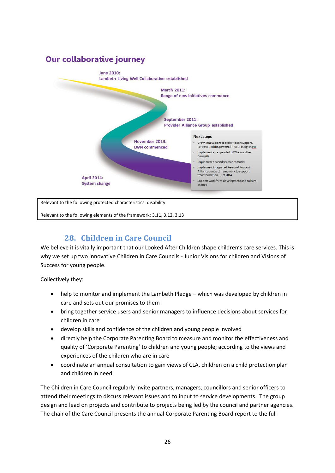

# **28. Children in Care Council**

<span id="page-26-0"></span>We believe it is vitally important that our Looked After Children shape children's care services. This is why we set up two innovative Children in Care Councils - Junior Visions for children and Visions of Success for young people.

Collectively they:

- help to monitor and implement the Lambeth Pledge which was developed by children in care and sets out our promises to them
- bring together service users and senior managers to influence decisions about services for children in care
- develop skills and confidence of the children and young people involved
- directly help the Corporate Parenting Board to measure and monitor the effectiveness and quality of 'Corporate Parenting' to children and young people; according to the views and experiences of the children who are in care
- coordinate an annual consultation to gain views of CLA, children on a child protection plan and children in need

The Children in Care Council regularly invite partners, managers, councillors and senior officers to attend their meetings to discuss relevant issues and to input to service developments. The group design and lead on projects and contribute to projects being led by the council and partner agencies. The chair of the Care Council presents the annual Corporate Parenting Board report to the full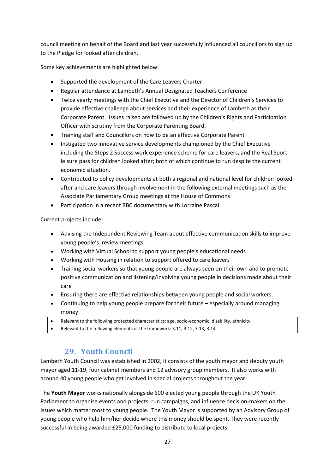council meeting on behalf of the Board and last year successfully influenced all councillors to sign up to the Pledge for looked after children.

Some key achievements are highlighted below:

- Supported the development of the Care Leavers Charter
- Regular attendance at Lambeth's Annual Designated Teachers Conference
- Twice yearly meetings with the Chief Executive and the Director of Children's Services to provide effective challenge about services and their experience of Lambeth as their Corporate Parent. Issues raised are followed up by the Children's Rights and Participation Officer with scrutiny from the Corporate Parenting Board.
- Training staff and Councillors on how to be an effective Corporate Parent
- Instigated two innovative service developments championed by the Chief Executive including the Steps 2 Success work experience scheme for care leavers, and the Real Sport leisure pass for children looked after; both of which continue to run despite the current economic situation.
- Contributed to policy developments at both a regional and national level for children looked after and care leavers through involvement in the following external meetings such as the Associate Parliamentary Group meetings at the House of Commons
- Participation in a recent BBC documentary with Lorraine Pascal

Current projects include:

- Advising the Independent Reviewing Team about effective communication skills to improve young people's review meetings
- Working with Virtual School to support young people's educational needs
- Working with Housing in relation to support offered to care leavers
- Training social workers so that young people are always seen on their own and to promote positive communication and listening/involving young people in decisions made about their care
- Ensuring there are effective relationships between young people and social workers.
- Continuing to help young people prepare for their future especially around managing money
- Relevant to the following protected characteristics: age, socio-economic, disability, ethnicity
- <span id="page-27-0"></span>Relevant to the following elements of the framework: 3.11, 3.12, 3.13, 3.14

# **29. Youth Council**

Lambeth Youth Council was established in 2002, it consists of the youth mayor and deputy youth mayor aged 11-19, four cabinet members and 12 advisory group members. It also works with around 40 young people who get involved in special projects throughout the year.

The **Youth Mayor** works nationally alongside 600 elected young people through the UK Youth Parliament to organise events and projects, run campaigns, and influence decision-makers on the issues which matter most to young people. The Youth Mayor is supported by an Advisory Group of young people who help him/her decide where this money should be spent. They were recently successful in being awarded £25,000 funding to distribute to local projects.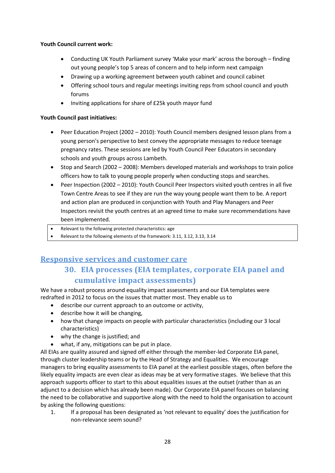#### **Youth Council current work:**

- Conducting UK Youth Parliament survey 'Make your mark' across the borough finding out young people's top 5 areas of concern and to help inform next campaign
- Drawing up a working agreement between youth cabinet and council cabinet
- Offering school tours and regular meetings inviting reps from school council and youth forums
- Inviting applications for share of £25k youth mayor fund

#### **Youth Council past initiatives:**

- Peer Education Project (2002 2010): Youth Council members designed lesson plans from a young person's perspective to best convey the appropriate messages to reduce teenage pregnancy rates. These sessions are led by Youth Council Peer Educators in secondary schools and youth groups across Lambeth.
- $\bullet$  Stop and Search (2002 2008): Members developed materials and workshops to train police officers how to talk to young people properly when conducting stops and searches.
- Peer Inspection (2002 2010): Youth Council Peer Inspectors visited youth centres in all five Town Centre Areas to see if they are run the way young people want them to be. A report and action plan are produced in conjunction with Youth and Play Managers and Peer Inspectors revisit the youth centres at an agreed time to make sure recommendations have been implemented.
- Relevant to the following protected characteristics: age
- Relevant to the following elements of the framework: 3.11, 3.12, 3.13, 3.14

# <span id="page-28-1"></span><span id="page-28-0"></span>**Responsive services and customer care**

# **30. EIA processes (EIA templates, corporate EIA panel and cumulative impact assessments)**

We have a robust process around equality impact assessments and our EIA templates were redrafted in 2012 to focus on the issues that matter most. They enable us to

- describe our current approach to an outcome or activity,
- describe how it will be changing,
- how that change impacts on people with particular characteristics (including our 3 local characteristics)
- why the change is justified; and
- what, if any, mitigations can be put in place.

All EIAs are quality assured and signed off either through the member-led Corporate EIA panel, through cluster leadership teams or by the Head of Strategy and Equalities. We encourage managers to bring equality assessments to EIA panel at the earliest possible stages, often before the likely equality impacts are even clear as ideas may be at very formative stages. We believe that this approach supports officer to start to this about equalities issues at the outset (rather than as an adjunct to a decision which has already been made). Our Corporate EIA panel focuses on balancing the need to be collaborative and supportive along with the need to hold the organisation to account by asking the following questions:

1. If a proposal has been designated as 'not relevant to equality' does the justification for non-relevance seem sound?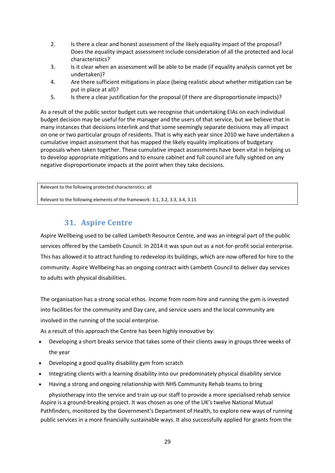- 2. Is there a clear and honest assessment of the likely equality impact of the proposal? Does the equality impact assessment include consideration of all the protected and local characteristics?
- 3. Is it clear when an assessment will be able to be made (if equality analysis cannot yet be undertaken)?
- 4. Are there sufficient mitigations in place (being realistic about whether mitigation can be put in place at all)?
- 5. Is there a clear justification for the proposal (if there are disproportionate impacts)?

As a result of the public sector budget cuts we recognise that undertaking EIAs on each individual budget decision may be useful for the manager and the users of that service, but we believe that in many instances that decisions interlink and that some seemingly separate decisions may all impact on one or two particular groups of residents. That is why each year since 2010 we have undertaken a cumulative impact assessment that has mapped the likely equality implications of budgetary proposals when taken together. These cumulative impact assessments have been vital in helping us to develop appropriate mitigations and to ensure cabinet and full council are fully sighted on any negative disproportionate impacts at the point when they take decisions.

Relevant to the following protected characteristics: all

<span id="page-29-0"></span>Relevant to the following elements of the framework: 3.1, 3.2, 3.3, 3.4, 3.15

# **31. Aspire Centre**

Aspire Wellbeing used to be called Lambeth Resource Centre, and was an integral part of the public services offered by the Lambeth Council. In 2014 it was spun out as a not-for-profit social enterprise. This has allowed it to attract funding to redevelop its buildings, which are now offered for hire to the community. Aspire Wellbeing has an ongoing contract with Lambeth Council to deliver day services to adults with physical disabilities.

The organisation has a strong social ethos. Income from room hire and running the gym is invested into facilities for the community and Day care, and service users and the local community are involved in the running of the social enterprise.

As a result of this approach the Centre has been highly innovative by:

- Developing a short breaks service that takes some of their clients away in groups three weeks of the year
- Developing a good quality disability gym from scratch
- Integrating clients with a learning disability into our predominately physical disability service
- Having a strong and ongoing relationship with NHS Community Rehab teams to bring

physiotherapy into the service and train up our staff to provide a more specialised rehab service Aspire is a ground-breaking project. It was chosen as one of the UK's twelve National Mutual Pathfinders, monitored by the Government's Department of Health, to explore new ways of running public services in a more financially sustainable ways. It also successfully applied for grants from the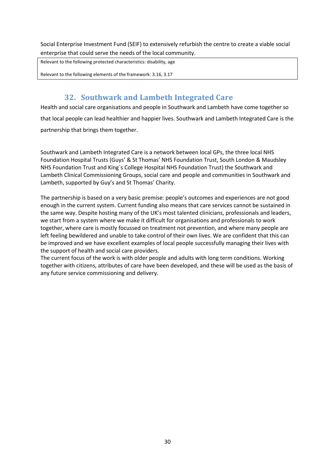Social Enterprise Investment Fund (SEIF) to extensively refurbish the centre to create a viable social enterprise that could serve the needs of the local community.

Relevant to the following protected characteristics: disability, age

<span id="page-30-0"></span>Relevant to the following elements of the framework: 3.16, 3.17

### 32. Southwark and Lambeth Integrated Care

Health and social care organisations and people in Southwark and Lambeth have come together so that local people can lead healthier and happier lives. Southwark and Lambeth Integrated Care is the partnership that brings them together.

Southwark and Lambeth Integrated Care is a network between local GPs, the three local NHS Foundation Hospital Trusts (Guys' & St Thomas' NHS Foundation Trust, South London & Maudsley NHS Foundation Trust and King's College Hospital NHS Foundation Trust) the Southwark and Lambeth Clinical Commissioning Groups, social care and people and communities in Southwark and Lambeth, supported by Guy's and St Thomas' Charity.

The partnership is based on a very basic premise: people's outcomes and experiences are not good enough in the current system. Current funding also means that care services cannot be sustained in the same way. Despite hosting many of the UK's most talented clinicians, professionals and leaders, we start from a system where we make it difficult for organisations and professionals to work together, where care is mostly focussed on treatment not prevention, and where many people are left feeling bewildered and unable to take control of their own lives. We are confident that this can be improved and we have excellent examples of local people successfully managing their lives with the support of health and social care providers.

The current focus of the work is with older people and adults with long term conditions. Working together with citizens, attributes of care have been developed, and these will be used as the basis of any future service commissioning and delivery.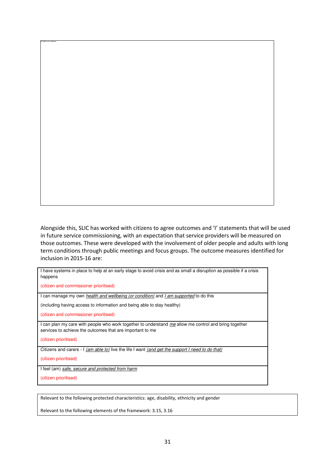Alongside this, SLIC has worked with citizens to agree outcomes and 'I' statements that will be used in future service commissioning, with an expectation that service providers will be measured on those outcomes. These were developed with the involvement of older people and adults with long term conditions through public meetings and focus groups. The outcome measures identified for inclusion in 2015-16 are:

| I have systems in place to help at an early stage to avoid crisis and as small a disruption as possible if a crisis<br>happens                                     |
|--------------------------------------------------------------------------------------------------------------------------------------------------------------------|
| (citizen and commissioner prioritised)                                                                                                                             |
| I can manage my own <i>health and wellbeing (or condition)</i> and I am supported to do this                                                                       |
| (including having access to information and being able to stay healthy)                                                                                            |
| (citizen and commissioner prioritised)                                                                                                                             |
| I can plan my care with people who work together to understand me allow me control and bring together<br>services to achieve the outcomes that are important to me |
| (citizen prioritised)                                                                                                                                              |
| Citizens and carers - I (am able to) live the life I want (and get the support I need to do that)                                                                  |
| (citizen prioritised)                                                                                                                                              |
| I feel (am) safe, secure and protected from harm                                                                                                                   |
| (citizen prioritised)                                                                                                                                              |
|                                                                                                                                                                    |

Relevant to the following protected characteristics: age, disability, ethnicity and gender

Relevant to the following elements of the framework: 3.15, 3.16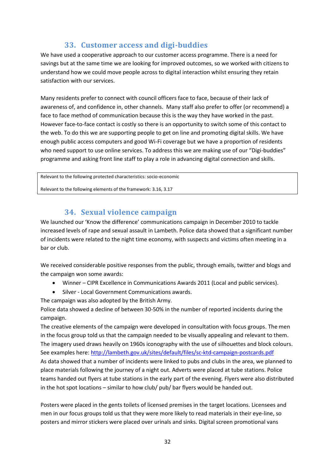# **33. Customer access and digi-buddies**

<span id="page-32-0"></span>We have used a cooperative approach to our customer access programme. There is a need for savings but at the same time we are looking for improved outcomes, so we worked with citizens to understand how we could move people across to digital interaction whilst ensuring they retain satisfaction with our services.

Many residents prefer to connect with council officers face to face, because of their lack of awareness of, and confidence in, other channels. Many staff also prefer to offer (or recommend) a face to face method of communication because this is the way they have worked in the past. However face-to-face contact is costly so there is an opportunity to switch some of this contact to the web. To do this we are supporting people to get on line and promoting digital skills. We have enough public access computers and good Wi-Fi coverage but we have a proportion of residents who need support to use online services. To address this we are making use of our "Digi-buddies" programme and asking front line staff to play a role in advancing digital connection and skills.

Relevant to the following protected characteristics: socio-economic

<span id="page-32-1"></span>Relevant to the following elements of the framework: 3.16, 3.17

### **34. Sexual violence campaign**

We launched our 'Know the difference' communications campaign in December 2010 to tackle increased levels of rape and sexual assault in Lambeth. Police data showed that a significant number of incidents were related to the night time economy, with suspects and victims often meeting in a bar or club.

We received considerable positive responses from the public, through emails, twitter and blogs and the campaign won some awards:

- Winner CIPR Excellence in Communications Awards 2011 (Local and public services).
- Silver Local Government Communications awards.

The campaign was also adopted by the British Army.

Police data showed a decline of between 30-50% in the number of reported incidents during the campaign.

The creative elements of the campaign were developed in consultation with focus groups. The men in the focus group told us that the campaign needed to be visually appealing and relevant to them. The imagery used draws heavily on 1960s iconography with the use of silhouettes and block colours. See examples here:<http://lambeth.gov.uk/sites/default/files/sc-ktd-campaign-postcards.pdf> As data showed that a number of incidents were linked to pubs and clubs in the area, we planned to place materials following the journey of a night out. Adverts were placed at tube stations. Police teams handed out flyers at tube stations in the early part of the evening. Flyers were also distributed in the hot spot locations – similar to how club/ pub/ bar flyers would be handed out.

Posters were placed in the gents toilets of licensed premises in the target locations. Licensees and men in our focus groups told us that they were more likely to read materials in their eye-line, so posters and mirror stickers were placed over urinals and sinks. Digital screen promotional vans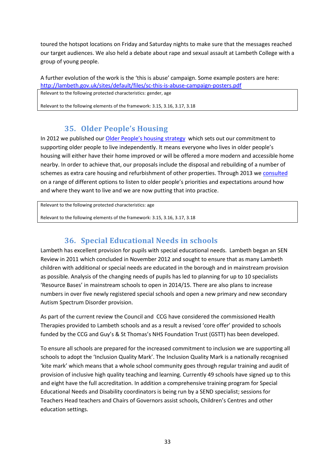toured the hotspot locations on Friday and Saturday nights to make sure that the messages reached our target audiences. We also held a debate about rape and sexual assault at Lambeth College with a group of young people.

#### A further evolution of the work is the 'this is abuse' campaign. Some example posters are here: http://lambeth.gov.uk/sites/default/files/sc-this-is-abuse-campaign-posters.pdf

Relevant to the following protected characteristics: gender, age

<span id="page-33-0"></span>Relevant to the following elements of the framework: 3.15, 3.16, 3.17, 3.18

# **35. Older People's Housing**

In 2012 we published our Older People's housing strategy which sets out our commitment to supporting older people to live independently. It means everyone who lives in older people's housing will either have their home improved or will be offered a more modern and accessible home nearby. In order to achieve that, our proposals include the disposal and rebuilding of a number of schemes as extra care housing and refurbishment of other properties. Through 2013 we consulted on a range of different options to listen to older people's priorities and expectations around how and where they want to live and we are now putting that into practice.

Relevant to the following protected characteristics: age

<span id="page-33-1"></span>Relevant to the following elements of the framework: 3.15, 3.16, 3.17, 3.18

# **36. Special Educational Needs in schools**

Lambeth has excellent provision for pupils with special educational needs. Lambeth began an SEN Review in 2011 which concluded in November 2012 and sought to ensure that as many Lambeth children with additional or special needs are educated in the borough and in mainstream provision as possible. Analysis of the changing needs of pupils has led to planning for up to 10 specialists 'Resource Bases' in mainstream schools to open in 2014/15. There are also plans to increase numbers in over five newly registered special schools and open a new primary and new secondary Autism Spectrum Disorder provision.

As part of the current review the Council and CCG have considered the commissioned Health Therapies provided to Lambeth schools and as a result a revised 'core offer' provided to schools funded by the CCG and Guy's & St Thomas's NHS Foundation Trust (GSTT) has been developed.

To ensure all schools are prepared for the increased commitment to inclusion we are supporting all schools to adopt the 'Inclusion Quality Mark'. The Inclusion Quality Mark is a nationally recognised 'kite mark' which means that a whole school community goes through regular training and audit of provision of inclusive high quality teaching and learning. Currently 49 schools have signed up to this and eight have the full accreditation. In addition a comprehensive training program for Special Educational Needs and Disability coordinators is being run by a SEND specialist; sessions for Teachers Head teachers and Chairs of Governors assist schools, Children's Centres and other education settings.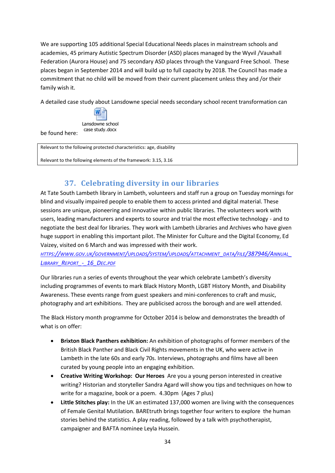We are supporting 105 additional Special Educational Needs places in mainstream schools and academies, 45 primary Autistic Spectrum Disorder (ASD) places managed by the Wyvil /Vauxhall Federation (Aurora House) and 75 secondary ASD places through the Vanguard Free School. These places began in September 2014 and will build up to full capacity by 2018. The Council has made a commitment that no child will be moved from their current placement unless they and /or their family wish it.

A detailed case study about Lansdowne special needs secondary school recent transformation can



be found here:

Relevant to the following protected characteristics: age, disability

<span id="page-34-0"></span>Relevant to the following elements of the framework: 3.15, 3.16

# **37. Celebrating diversity in our libraries**

At Tate South Lambeth library in Lambeth, volunteers and staff run a group on Tuesday mornings for blind and visually impaired people to enable them to access printed and digital material. These sessions are unique, pioneering and innovative within public libraries. The volunteers work with users, leading manufacturers and experts to source and trial the most effective technology - and to negotiate the best deal for libraries. They work with Lambeth Libraries and Archives who have given huge support in enabling this important pilot. The Minister for Culture and the Digital Economy, Ed Vaizey, visited on 6 March and was impressed with their work.

HTTPS://WWW.GOV.UK/GOVERNMENT/UPLOADS/SYSTEM/UPLOADS/ATTACHMENT DATA/FILE[/387946/A](https://www.gov.uk/government/uploads/system/uploads/attachment_data/file/387946/Annual_Library_Report_-_16_Dec.pdf)NNUAL *LIBRARY\_REPORT[\\_-\\_16\\_D](https://www.gov.uk/government/uploads/system/uploads/attachment_data/file/387946/Annual_Library_Report_-_16_Dec.pdf)EC.PDF*

Our libraries run a series of events throughout the year which celebrate Lambeth's diversity including programmes of events to mark Black History Month, LGBT History Month, and Disability Awareness. These events range from guest speakers and mini-conferences to craft and music, photography and art exhibitions. They are publicised across the borough and are well attended.

The Black History month programme for October 2014 is below and demonstrates the breadth of what is on offer:

- **Brixton Black Panthers exhibition:** An exhibition of photographs of former members of the British Black Panther and Black Civil Rights movements in the UK, who were active in Lambeth in the late 60s and early 70s. Interviews, photographs and films have all been curated by young people into an engaging exhibition.
- **Creative Writing Workshop: Our Heroes** Are you a young person interested in creative writing? Historian and storyteller Sandra Agard will show you tips and techniques on how to write for a magazine, book or a poem. 4.30pm (Ages 7 plus)
- **Little Stitches play:** In the UK an estimated 137,000 women are living with the consequences of Female Genital Mutilation. BAREtruth brings together four writers to explore the human stories behind the statistics. A play reading, followed by a talk with psychotherapist, campaigner and BAFTA nominee Leyla Hussein.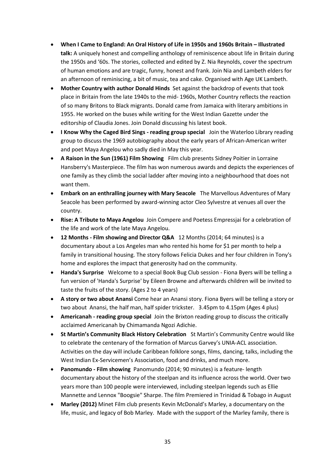- **When I Came to England: An Oral History of Life in 1950s and 1960s Britain – Illustrated talk:** A uniquely honest and compelling anthology of reminiscence about life in Britain during the 1950s and '60s. The stories, collected and edited by Z. Nia Reynolds, cover the spectrum of human emotions and are tragic, funny, honest and frank. Join Nia and Lambeth elders for an afternoon of reminiscing, a bit of music, tea and cake. Organised with Age UK Lambeth.
- **Mother Country with author Donald Hinds** Set against the backdrop of events that took place in Britain from the late 1940s to the mid- 1960s, Mother Country reflects the reaction of so many Britons to Black migrants. Donald came from Jamaica with literary ambitions in 1955. He worked on the buses while writing for the West Indian Gazette under the editorship of Claudia Jones. Join Donald discussing his latest book.
- **I Know Why the Caged Bird Sings reading group special** Join the Waterloo Library reading group to discuss the 1969 autobiography about the early years of African-American writer and poet Maya Angelou who sadly died in May this year.
- **A Raison in the Sun (1961) Film Showing** Film club presents Sidney Poitier in Lorraine Hansberry's Masterpiece. The film has won numerous awards and depicts the experiences of one family as they climb the social ladder after moving into a neighbourhood that does not want them.
- **Embark on an enthralling journey with Mary Seacole** The Marvellous Adventures of Mary Seacole has been performed by award-winning actor Cleo Sylvestre at venues all over the country.
- **Rise: A Tribute to Maya Angelou** Join Compere and Poetess Empressjai for a celebration of the life and work of the late Maya Angelou.
- **12 Months Film showing and Director Q&A** 12 Months (2014; 64 minutes) is a documentary about a Los Angeles man who rented his home for \$1 per month to help a family in transitional housing. The story follows Felicia Dukes and her four children in Tony's home and explores the impact that generosity had on the community.
- **Handa's Surprise** Welcome to a special Book Bug Club session Fiona Byers will be telling a fun version of 'Handa's Surprise' by Eileen Browne and afterwards children will be invited to taste the fruits of the story. (Ages 2 to 4 years)
- **A story or two about Anansi** Come hear an Anansi story. Fiona Byers will be telling a story or two about Anansi, the half man, half spider trickster. 3.45pm to 4.15pm (Ages 4 plus)
- **Americanah reading group special** Join the Brixton reading group to discuss the critically acclaimed Americanah by Chimamanda Ngozi Adichie.
- **St Martin's Community Black History Celebration** St Martin's Community Centre would like to celebrate the centenary of the formation of Marcus Garvey's UNIA-ACL association. Activities on the day will include Caribbean folklore songs, films, dancing, talks, including the West Indian Ex-Servicemen's Association, food and drinks, and much more.
- **Panomundo Film showing** Panomundo (2014; 90 minutes) is a feature- length documentary about the history of the steelpan and its influence across the world. Over two years more than 100 people were interviewed, including steelpan legends such as Ellie Mannette and Lennox "Boogsie" Sharpe. The film Premiered in Trinidad & Tobago in August
- **Marley (2012)** Minet Film club presents Kevin McDonald's Marley, a documentary on the life, music, and legacy of Bob Marley. Made with the support of the Marley family, there is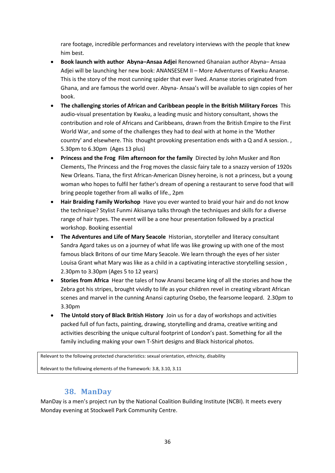rare footage, incredible performances and revelatory interviews with the people that knew him best.

- **Book launch with author Abyna–Ansaa Adjei** Renowned Ghanaian author Abyna– Ansaa Adjei will be launching her new book: ANANSESEM II – More Adventures of Kweku Ananse. This is the story of the most cunning spider that ever lived. Ananse stories originated from Ghana, and are famous the world over. Abyna- Ansaa's will be available to sign copies of her book.
- **The challenging stories of African and Caribbean people in the British Military Forces** This audio-visual presentation by Kwaku, a leading music and history consultant, shows the contribution and role of Africans and Caribbeans, drawn from the British Empire to the First World War, and some of the challenges they had to deal with at home in the 'Mother country' and elsewhere. This thought provoking presentation ends with a Q and A session. , 5.30pm to 6.30pm (Ages 13 plus)
- **Princess and the Frog Film afternoon for the family** Directed by John Musker and Ron Clements, The Princess and the Frog moves the classic fairy tale to a snazzy version of 1920s New Orleans. Tiana, the first African-American Disney heroine, is not a princess, but a young woman who hopes to fulfil her father's dream of opening a restaurant to serve food that will bring people together from all walks of life., 2pm
- **Hair Braiding Family Workshop** Have you ever wanted to braid your hair and do not know the technique? Stylist Funmi Akisanya talks through the techniques and skills for a diverse range of hair types. The event will be a one hour presentation followed by a practical workshop. Booking essential
- **The Adventures and Life of Mary Seacole** Historian, storyteller and literacy consultant Sandra Agard takes us on a journey of what life was like growing up with one of the most famous black Britons of our time Mary Seacole. We learn through the eyes of her sister Louisa Grant what Mary was like as a child in a captivating interactive storytelling session , 2.30pm to 3.30pm (Ages 5 to 12 years)
- **Stories from Africa** Hear the tales of how Anansi became king of all the stories and how the Zebra got his stripes, brought vividly to life as your children revel in creating vibrant African scenes and marvel in the cunning Anansi capturing Osebo, the fearsome leopard. 2.30pm to 3.30pm
- **The Untold story of Black British History** Join us for a day of workshops and activities packed full of fun facts, painting, drawing, storytelling and drama, creative writing and activities describing the unique cultural footprint of London's past. Something for all the family including making your own T-Shirt designs and Black historical photos.

Relevant to the following protected characteristics: sexual orientation, ethnicity, disability

<span id="page-36-0"></span>Relevant to the following elements of the framework: 3.8, 3.10, 3.11

### **38. ManDay**

ManDay is a men's project run by the National Coalition Building Institute (NCBI). It meets every Monday evening at Stockwell Park Community Centre.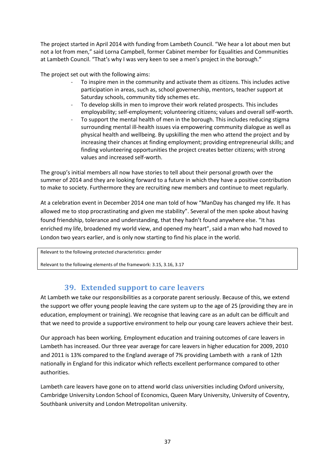The project started in April 2014 with funding from Lambeth Council. "We hear a lot about men but not a lot from men," said Lorna Campbell, former Cabinet member for Equalities and Communities at Lambeth Council. "That's why I was very keen to see a men's project in the borough."

The project set out with the following aims:

- To inspire men in the community and activate them as citizens. This includes active participation in areas, such as, school governership, mentors, teacher support at Saturday schools, community tidy schemes etc.
- To develop skills in men to improve their work related prospects. This includes employability; self-employment; volunteering citizens; values and overall self-worth.
- To support the mental health of men in the borough. This includes reducing stigma surrounding mental ill-health issues via empowering community dialogue as well as physical health and wellbeing. By upskilling the men who attend the project and by increasing their chances at finding employment; providing entrepreneurial skills; and finding volunteering opportunities the project creates better citizens; with strong values and increased self-worth.

The group's initial members all now have stories to tell about their personal growth over the summer of 2014 and they are looking forward to a future in which they have a positive contribution to make to society. Furthermore they are recruiting new members and continue to meet regularly.

At a celebration event in December 2014 one man told of how "ManDay has changed my life. It has allowed me to stop procrastinating and given me stability". Several of the men spoke about having found friendship, tolerance and understanding, that they hadn't found anywhere else. "It has enriched my life, broadened my world view, and opened my heart", said a man who had moved to London two years earlier, and is only now starting to find his place in the world.

Relevant to the following protected characteristics: gender

<span id="page-37-0"></span>Relevant to the following elements of the framework: 3.15, 3.16, 3.17

# 39. Extended support to care leavers

At Lambeth we take our responsibilities as a corporate parent seriously. Because of this, we extend the support we offer young people leaving the care system up to the age of 25 (providing they are in education, employment or training). We recognise that leaving care as an adult can be difficult and that we need to provide a supportive environment to help our young care leavers achieve their best.

Our approach has been working. Employment education and training outcomes of care leavers in Lambeth has increased. Our three year average for care leavers in higher education for 2009, 2010 and 2011 is 13% compared to the England average of 7% providing Lambeth with a rank of 12th nationally in England for this indicator which reflects excellent performance compared to other authorities.

Lambeth care leavers have gone on to attend world class universities including Oxford university, Cambridge University London School of Economics, Queen Mary University, University of Coventry, Southbank university and London Metropolitan university.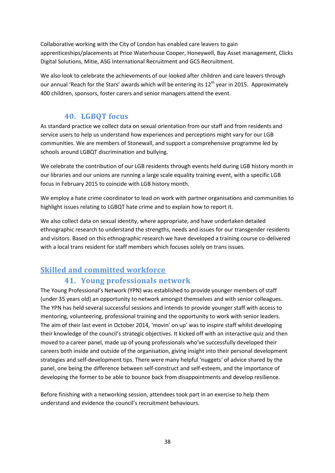Collaborative working with the City of London has enabled care leavers to gain apprenticeships/placements at Price Waterhouse Cooper, Honeywell, Bay Asset management, Clicks Digital Solutions, Mitie, ASG International Recruitment and GCS Recruitment.

We also look to celebrate the achievements of our looked after children and care leavers through our annual 'Reach for the Stars' awards which will be entering its 12<sup>th</sup> year in 2015. Approximately 400 children, sponsors, foster carers and senior managers attend the event.

### 40. LGBQT focus

<span id="page-38-0"></span>As standard practice we collect data on sexual orientation from our staff and from residents and service users to help us understand how experiences and perceptions might vary for our LGB communities. We are members of Stonewall, and support a comprehensive programme led by schools around LGBQT discrimination and bullying.

We celebrate the contribution of our LGB residents through events held during LGB history month in our libraries and our unions are running a large scale equality training event, with a specific LGB focus in February 2015 to coincide with LGB history month.

We employ a hate crime coordinator to lead on work with partner organisations and communities to highlight issues relating to LGBQT hate crime and to explain how to report it.

We also collect data on sexual identity, where appropriate, and have undertaken detailed ethnographic research to understand the strengths, needs and issues for our transgender residents and visitors. Based on this ethnographic research we have developed a training course co-delivered with a local trans resident for staff members which focuses solely on trans issues.

# <span id="page-38-1"></span>**Skilled and committed workforce**

# 41. Young professionals network

<span id="page-38-2"></span>The Young Professional's Network (YPN) was established to provide younger members of staff (under 35 years old) an opportunity to network amongst themselves and with senior colleagues. The YPN has held several successful sessions and intends to provide younger staff with access to mentoring, volunteering, professional training and the opportunity to work with senior leaders. The aim of their last event in October 2014, 'movin' on up' was to inspire staff whilst developing their knowledge of the council's strategic objectives. It kicked off with an interactive quiz and then moved to a career panel, made up of young professionals who've successfully developed their careers both inside and outside of the organisation, giving insight into their personal development strategies and self-development tips. There were many helpful 'nuggets' of advice shared by the panel, one being the difference between self-construct and self-esteem, and the importance of developing the former to be able to bounce back from disappointments and develop resilience.

Before finishing with a networking session, attendees took part in an exercise to help them understand and evidence the council's recruitment behaviours.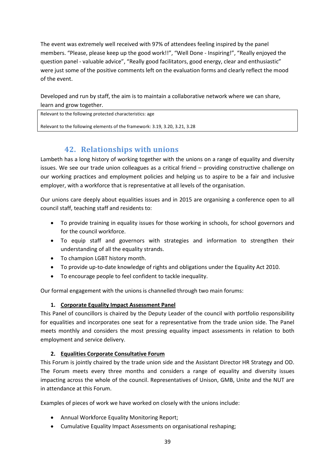The event was extremely well received with 97% of attendees feeling inspired by the panel members. "Please, please keep up the good work!!", "Well Done - Inspiring!", "Really enjoyed the question panel - valuable advice", "Really good facilitators, good energy, clear and enthusiastic" were just some of the positive comments left on the evaluation forms and clearly reflect the mood of the event.

Developed and run by staff, the aim is to maintain a collaborative network where we can share, learn and grow together.

Relevant to the following protected characteristics: age

<span id="page-39-0"></span>Relevant to the following elements of the framework: 3.19, 3.20, 3.21, 3.28

# **42. Relationships with unions**

Lambeth has a long history of working together with the unions on a range of equality and diversity issues. We see our trade union colleagues as a critical friend – providing constructive challenge on our working practices and employment policies and helping us to aspire to be a fair and inclusive employer, with a workforce that is representative at all levels of the organisation.

Our unions care deeply about equalities issues and in 2015 are organising a conference open to all council staff, teaching staff and residents to:

- To provide training in equality issues for those working in schools, for school governors and for the council workforce.
- To equip staff and governors with strategies and information to strengthen their understanding of all the equality strands.
- To champion LGBT history month.
- To provide up-to-date knowledge of rights and obligations under the Equality Act 2010.
- To encourage people to feel confident to tackle inequality.

Our formal engagement with the unions is channelled through two main forums:

#### **1. Corporate Equality Impact Assessment Panel**

This Panel of councillors is chaired by the Deputy Leader of the council with portfolio responsibility for equalities and incorporates one seat for a representative from the trade union side. The Panel meets monthly and considers the most pressing equality impact assessments in relation to both employment and service delivery.

#### **2. Equalities Corporate Consultative Forum**

This Forum is jointly chaired by the trade union side and the Assistant Director HR Strategy and OD. The Forum meets every three months and considers a range of equality and diversity issues impacting across the whole of the council. Representatives of Unison, GMB, Unite and the NUT are in attendance at this Forum.

Examples of pieces of work we have worked on closely with the unions include:

- Annual Workforce Equality Monitoring Report;
- Cumulative Equality Impact Assessments on organisational reshaping;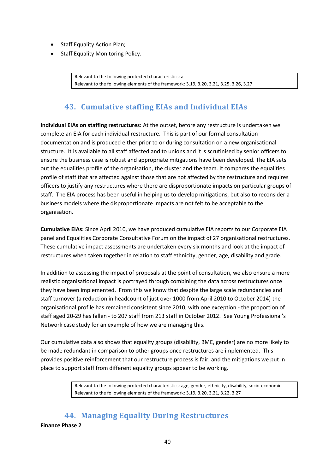- Staff Equality Action Plan;
- Staff Equality Monitoring Policy.

Relevant to the following protected characteristics: all Relevant to the following elements of the framework: 3.19, 3.20, 3.21, 3.25, 3.26, 3.27

# <span id="page-40-0"></span>**43. Cumulative staffing EIAs and Individual EIAs**

**Individual EIAs on staffing restructures:** At the outset, before any restructure is undertaken we complete an EIA for each individual restructure. This is part of our formal consultation documentation and is produced either prior to or during consultation on a new organisational structure. It is available to all staff affected and to unions and it is scrutinised by senior officers to ensure the business case is robust and appropriate mitigations have been developed. The EIA sets out the equalities profile of the organisation, the cluster and the team. It compares the equalities profile of staff that are affected against those that are not affected by the restructure and requires officers to justify any restructures where there are disproportionate impacts on particular groups of staff. The EIA process has been useful in helping us to develop mitigations, but also to reconsider a business models where the disproportionate impacts are not felt to be acceptable to the organisation.

**Cumulative EIAs:** Since April 2010, we have produced cumulative EIA reports to our Corporate EIA panel and Equalities Corporate Consultative Forum on the impact of 27 organisational restructures. These cumulative impact assessments are undertaken every six months and look at the impact of restructures when taken together in relation to staff ethnicity, gender, age, disability and grade.

In addition to assessing the impact of proposals at the point of consultation, we also ensure a more realistic organisational impact is portrayed through combining the data across restructures once they have been implemented. From this we know that despite the large scale redundancies and staff turnover (a reduction in headcount of just over 1000 from April 2010 to October 2014) the organisational profile has remained consistent since 2010, with one exception - the proportion of staff aged 20-29 has fallen - to 207 staff from 213 staff in October 2012. See Young Professional's Network case study for an example of how we are managing this.

Our cumulative data also shows that equality groups (disability, BME, gender) are no more likely to be made redundant in comparison to other groups once restructures are implemented. This provides positive reinforcement that our restructure process is fair, and the mitigations we put in place to support staff from different equality groups appear to be working.

> Relevant to the following protected characteristics: age, gender, ethnicity, disability, socio-economic Relevant to the following elements of the framework: 3.19, 3.20, 3.21, 3.22, 3.27

<span id="page-40-1"></span>**44. Managing Equality During Restructures Finance Phase 2**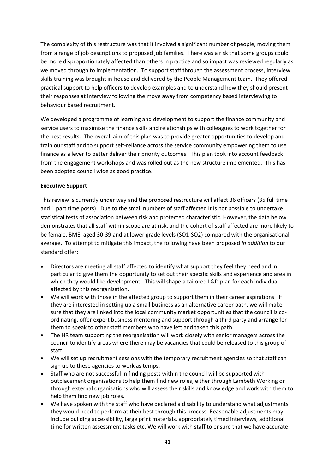The complexity of this restructure was that it involved a significant number of people, moving them from a range of job descriptions to proposed job families. There was a risk that some groups could be more disproportionately affected than others in practice and so impact was reviewed regularly as we moved through to implementation. To support staff through the assessment process, interview skills training was brought in-house and delivered by the People Management team. They offered practical support to help officers to develop examples and to understand how they should present their responses at interview following the move away from competency based interviewing to behaviour based recruitment**.**

We developed a programme of learning and development to support the finance community and service users to maximise the finance skills and relationships with colleagues to work together for the best results. The overall aim of this plan was to provide greater opportunities to develop and train our staff and to support self-reliance across the service community empowering them to use finance as a lever to better deliver their priority outcomes. This plan took into account feedback from the engagement workshops and was rolled out as the new structure implemented. This has been adopted council wide as good practice.

#### **Executive Support**

This review is currently under way and the proposed restructure will affect 36 officers (35 full time and 1 part time posts). Due to the small numbers of staff affected it is not possible to undertake statistical tests of association between risk and protected characteristic. However, the data below demonstrates that all staff within scope are at risk, and the cohort of staff affected are more likely to be female, BME, aged 30-39 and at lower grade levels (SO1-SO2) compared with the organisational average. To attempt to mitigate this impact, the following have been proposed *in addition* to our standard offer:

- Directors are meeting all staff affected to identify what support they feel they need and in particular to give them the opportunity to set out their specific skills and experience and area in which they would like development. This will shape a tailored L&D plan for each individual affected by this reorganisation.
- We will work with those in the affected group to support them in their career aspirations. If they are interested in setting up a small business as an alternative career path, we will make sure that they are linked into the local community market opportunities that the council is coordinating, offer expert business mentoring and support through a third party and arrange for them to speak to other staff members who have left and taken this path.
- The HR team supporting the reorganisation will work closely with senior managers across the council to identify areas where there may be vacancies that could be released to this group of staff.
- We will set up recruitment sessions with the temporary recruitment agencies so that staff can sign up to these agencies to work as temps.
- Staff who are not successful in finding posts within the council will be supported with outplacement organisations to help them find new roles, either through Lambeth Working or through external organisations who will assess their skills and knowledge and work with them to help them find new job roles.
- We have spoken with the staff who have declared a disability to understand what adjustments they would need to perform at their best through this process. Reasonable adjustments may include building accessibility, large print materials, appropriately timed interviews, additional time for written assessment tasks etc. We will work with staff to ensure that we have accurate